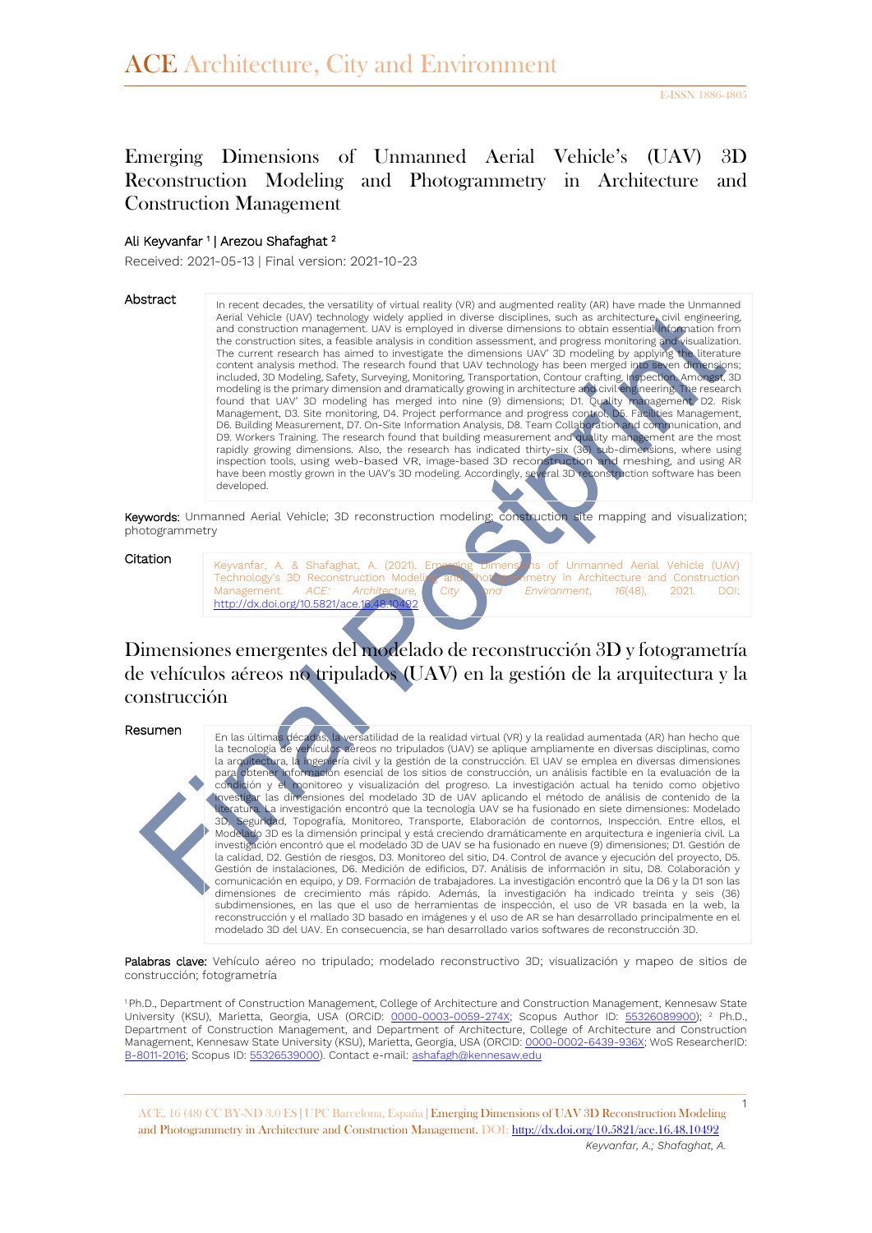# Emerging Dimensions of Unmanned Aerial Vehicle's (UAV) 3D Reconstruction Modeling and Photogrammetry in Architecture and Construction Management

#### Ali Keyvanfar 1 | Arezou Shafaghat <sup>2</sup>

Received: 2021-05-13 | Final version: 2021-10-23

#### Abstract

In recent decades, the versatility of virtual reality (VR) and augmented reality (AR) have made the Unmanned Aerial Vehicle (UAV) technology widely applied in diverse disciplines, such as architecture, civil engineering, and construction management. UAV is employed in diverse dimensions to obtain essential information from the construction sites, a feasible analysis in condition assessment, and progress monitoring and visualization. The current research has aimed to investigate the dimensions UAV' 3D modeling by applying the literature content analysis method. The research found that UAV technology has been merged into seven dimensions; included, 3D Modeling, Safety, Surveying, Monitoring, Transportation, Contour crafting, Inspection. Amongst, 3D modeling is the primary dimension and dramatically growing in architecture and civil engineering. The research found that UAV' 3D modeling has merged into nine (9) dimensions; D1. Quality management, D2. Risk Management, D3. Site monitoring, D4. Project performance and progress control, D5. Facilities Management, D6. Building Measurement, D7. On-Site Information Analysis, D8. Team Collaboration and communication, and D9. Workers Training. The research found that building measurement and quality management are the most rapidly growing dimensions. Also, the research has indicated thirty-six (36) sub-dimensions, where using<br>inspection tools, using web-based VR, image-based 3D reconstruction and meshing, and using AR<br>have been mostly grown developed.

Keywords: Unmanned Aerial Vehicle; 3D reconstruction modeling; construction site mapping and visualization; photogrammetry

#### **Citation**

Keyvanfar, A. & Shafaghat, A. (2021). Emerging Dimensions of Unmanned Aerial Vehicle (UAV) Technology's 3D Reconstruction Modeling and Photogrammetry in Architecture and Construction Management. *ACE: Architecture, City and Environment*, *16*(48), 2021. DOI: http://dx.doi.org/10.5821/ace.16.4

Dimensiones emergentes del modelado de reconstrucción 3D y fotogrametría de vehículos aéreos no tripulados (UAV) en la gestión de la arquitectura y la construcción

#### Resumen

En las últimas décadas, la versatilidad de la realidad virtual (VR) y la realidad aumentada (AR) han hecho que la tecnología de vehículos aéreos no tripulados (UAV) se aplique ampliamente en diversas disciplinas, como la arquitectura, la ingeniería civil y la gestión de la construcción. El UAV se emplea en diversas dimensiones para obtener información esencial de los sitios de construcción, un análisis factible en la evaluación de la condición y el monitoreo y visualización del progreso. La investigación actual ha tenido como objetivo investigar las dimensiones del modelado 3D de UAV aplicando el método de análisis de contenido de la literatura. La investigación encontró que la tecnología UAV se ha fusionado en siete dimensiones: Modelado<br>30. Segundad - Topografía - Monitoreo - Transporte - Elaboración de contornos - Inspección - Entre ellos - el Seguridad, Topografía, Monitoreo, Transporte, Elaboración de contornos, Inspección. Entre ellos, el Modelado 3D es la dimensión principal y está creciendo dramáticamente en arquitectura e ingeniería civil. La investigación encontró que el modelado 3D de UAV se ha fusionado en nueve (9) dimensiones; D1. Gestión de la calidad, D2. Gestión de riesgos, D3. Monitoreo del sitio, D4. Control de avance y ejecución del proyecto, D5. Gestión de instalaciones, D6. Medición de edificios, D7. Análisis de información in situ, D8. Colaboración y comunicación en equipo, y D9. Formación de trabajadores. La investigación encontró que la D6 y la D1 son las dimensiones de crecimiento más rápido. Además, la investigación ha indicado treinta y seis (36) subdimensiones, en las que el uso de herramientas de inspección, el uso de VR basada en la web, la reconstrucción y el mallado 3D basado en imágenes y el uso de AR se han desarrollado principalmente en el modelado 3D del UAV. En consecuencia, se han desarrollado varios softwares de reconstrucción 3D.

Palabras clave: Vehículo aéreo no tripulado; modelado reconstructivo 3D; visualización y mapeo de sitios de construcción; fotogrametría

<sup>1</sup> Ph.D., Department of Construction Management, College of Architecture and Construction Management, Kennesaw State University (KSU), Marietta, Georgia, USA (ORCiD: [0000-0003-0059-274X;](https://orcid.org/0000-0003-0059-274X) Scopus Author ID: [55326089900\)](https://www.scopus.com/authid/detail.uri?authorId=55326089900); <sup>2</sup> Ph.D., Department of Construction Management, and Department of Architecture, College of Architecture and Construction Management, Kennesaw State University (KSU), Marietta, Georgia, USA (ORCID: [0000-0002-6439-936X;](https://orcid.org/0000-0002-6439-936X) WoS ResearcherID: [B-8011-2016;](https://www.scopus.com/authid/detail.uri?authorId=55326539000) Scopus ID[: 55326539000\)](https://www.scopus.com/authid/detail.uri?authorId=55326539000). Contact e-mail[: ashafagh@kennesaw.edu](mailto:ashafagh@kennesaw.edu)

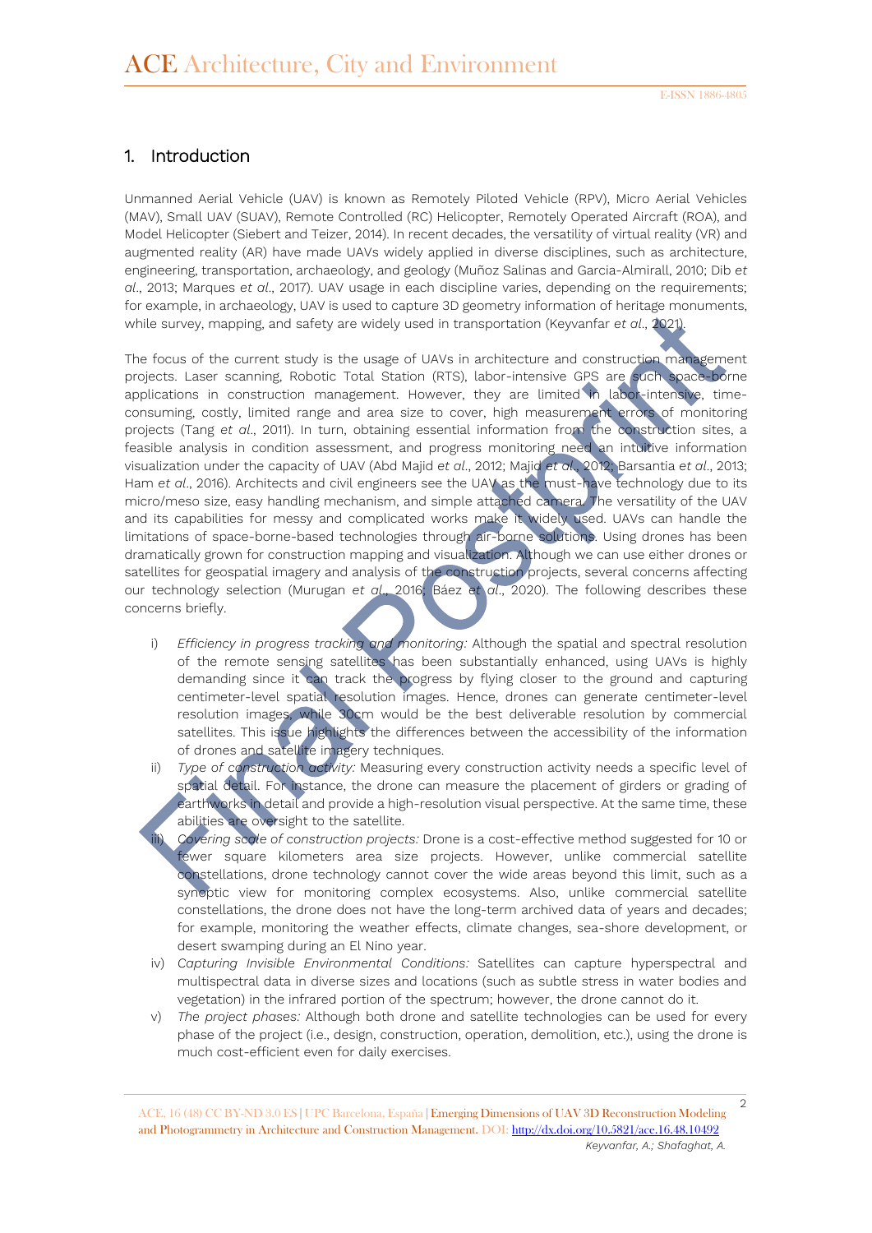## 1. Introduction

Unmanned Aerial Vehicle (UAV) is known as Remotely Piloted Vehicle (RPV), Micro Aerial Vehicles (MAV), Small UAV (SUAV), Remote Controlled (RC) Helicopter, Remotely Operated Aircraft (ROA), and Model Helicopter (Siebert and Teizer, 2014). In recent decades, the versatility of virtual reality (VR) and augmented reality (AR) have made UAVs widely applied in diverse disciplines, such as architecture, engineering, transportation, archaeology, and geology (Muñoz Salinas and Garcia-Almirall, 2010; Dib *et al*., 2013; Marques *et al*., 2017). UAV usage in each discipline varies, depending on the requirements; for example, in archaeology, UAV is used to capture 3D geometry information of heritage monuments, while survey, mapping, and safety are widely used in transportation (Keyvanfar *et al*., 2021).

The focus of the current study is the usage of UAVs in architecture and construction management projects. Laser scanning, Robotic Total Station (RTS), labor-intensive GPS are such space-borne applications in construction management. However, they are limited in labor-intensive, timeconsuming, costly, limited range and area size to cover, high measurement errors of monitoring projects (Tang *et al*., 2011). In turn, obtaining essential information from the construction sites, a feasible analysis in condition assessment, and progress monitoring need an intuitive information visualization under the capacity of UAV (Abd Majid *et al*., 2012; Majid *et al*., 2012; Barsantia *et al*., 2013; Ham *et al*., 2016). Architects and civil engineers see the UAV as the must-have technology due to its micro/meso size, easy handling mechanism, and simple attached camera. The versatility of the UAV and its capabilities for messy and complicated works make it widely used. UAVs can handle the limitations of space-borne-based technologies through air-borne solutions. Using drones has been dramatically grown for construction mapping and visualization. Although we can use either drones or satellites for geospatial imagery and analysis of the construction projects, several concerns affecting our technology selection (Murugan *et al*., 2016; Báez *et al*., 2020). The following describes these concerns briefly.

- i) *Efficiency in progress tracking and monitoring:* Although the spatial and spectral resolution of the remote sensing satellites has been substantially enhanced, using UAVs is highly demanding since it can track the progress by flying closer to the ground and capturing centimeter-level spatial resolution images. Hence, drones can generate centimeter-level resolution images, while 30cm would be the best deliverable resolution by commercial satellites. This issue highlights the differences between the accessibility of the information of drones and satellite imagery techniques.
- ii) *Type of construction activity:* Measuring every construction activity needs a specific level of spatial detail. For instance, the drone can measure the placement of girders or grading of earthworks in detail and provide a high-resolution visual perspective. At the same time, these abilities are oversight to the satellite.
	- Covering scale of construction projects: Drone is a cost-effective method suggested for 10 or fewer square kilometers area size projects. However, unlike commercial satellite constellations, drone technology cannot cover the wide areas beyond this limit, such as a synoptic view for monitoring complex ecosystems. Also, unlike commercial satellite constellations, the drone does not have the long-term archived data of years and decades; for example, monitoring the weather effects, climate changes, sea-shore development, or desert swamping during an El Nino year.
- iv) *Capturing Invisible Environmental Conditions:* Satellites can capture hyperspectral and multispectral data in diverse sizes and locations (such as subtle stress in water bodies and vegetation) in the infrared portion of the spectrum; however, the drone cannot do it.
- v) *The project phases:* Although both drone and satellite technologies can be used for every phase of the project (i.e., design, construction, operation, demolition, etc.), using the drone is much cost-efficient even for daily exercises.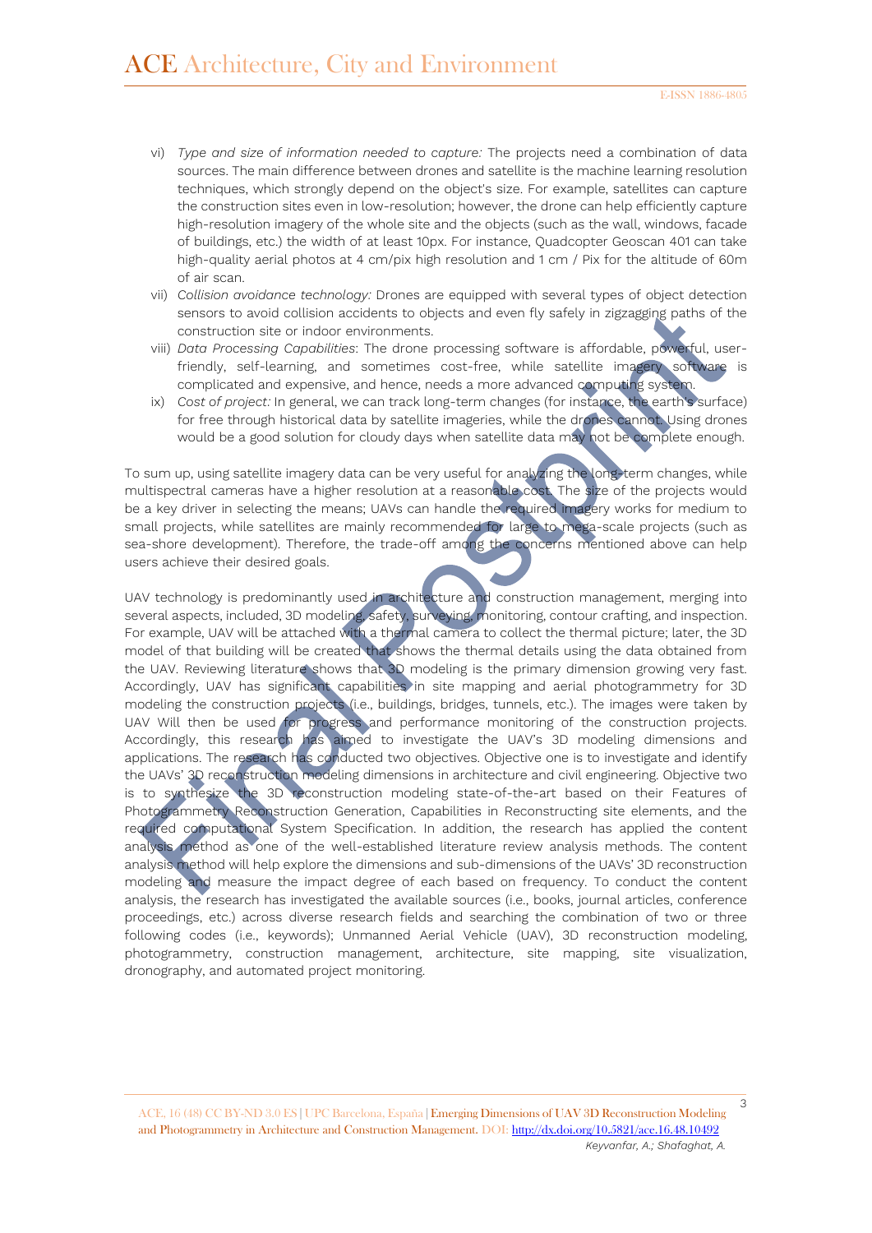- vi) *Type and size of information needed to capture:* The projects need a combination of data sources. The main difference between drones and satellite is the machine learning resolution techniques, which strongly depend on the object's size. For example, satellites can capture the construction sites even in low-resolution; however, the drone can help efficiently capture high-resolution imagery of the whole site and the objects (such as the wall, windows, facade of buildings, etc.) the width of at least 10px. For instance, Quadcopter Geoscan 401 can take high-quality aerial photos at 4 cm/pix high resolution and 1 cm / Pix for the altitude of 60m of air scan.
- vii) *Collision avoidance technology:* Drones are equipped with several types of object detection sensors to avoid collision accidents to objects and even fly safely in zigzagging paths of the construction site or indoor environments.
- viii) *Data Processing Capabilities*: The drone processing software is affordable, powerful, userfriendly, self-learning, and sometimes cost-free, while satellite imagery software is complicated and expensive, and hence, needs a more advanced computing system.
- ix) *Cost of project:* In general, we can track long-term changes (for instance, the earth's surface) for free through historical data by satellite imageries, while the drones cannot. Using drones would be a good solution for cloudy days when satellite data may not be complete enough.

To sum up, using satellite imagery data can be very useful for analyzing the long-term changes, while multispectral cameras have a higher resolution at a reasonable cost. The size of the projects would be a key driver in selecting the means; UAVs can handle the required imagery works for medium to small projects, while satellites are mainly recommended for large to mega-scale projects (such as sea-shore development). Therefore, the trade-off among the concerns mentioned above can help users achieve their desired goals.

UAV technology is predominantly used in architecture and construction management, merging into several aspects, included, 3D modeling, safety, surveying, monitoring, contour crafting, and inspection. For example, UAV will be attached with a thermal camera to collect the thermal picture; later, the 3D model of that building will be created that shows the thermal details using the data obtained from the UAV. Reviewing literature shows that 3D modeling is the primary dimension growing very fast. Accordingly, UAV has significant capabilities in site mapping and aerial photogrammetry for 3D modeling the construction projects (i.e., buildings, bridges, tunnels, etc.). The images were taken by UAV Will then be used for progress and performance monitoring of the construction projects. Accordingly, this research has aimed to investigate the UAV's 3D modeling dimensions and applications. The research has conducted two objectives. Objective one is to investigate and identify the UAVs' 3D reconstruction modeling dimensions in architecture and civil engineering. Objective two is to synthesize the 3D reconstruction modeling state-of-the-art based on their Features of Photogrammetry Reconstruction Generation, Capabilities in Reconstructing site elements, and the required computational System Specification. In addition, the research has applied the content analysis method as one of the well-established literature review analysis methods. The content analysis method will help explore the dimensions and sub-dimensions of the UAVs' 3D reconstruction modeling and measure the impact degree of each based on frequency. To conduct the content analysis, the research has investigated the available sources (i.e., books, journal articles, conference proceedings, etc.) across diverse research fields and searching the combination of two or three following codes (i.e., keywords); Unmanned Aerial Vehicle (UAV), 3D reconstruction modeling, photogrammetry, construction management, architecture, site mapping, site visualization, dronography, and automated project monitoring.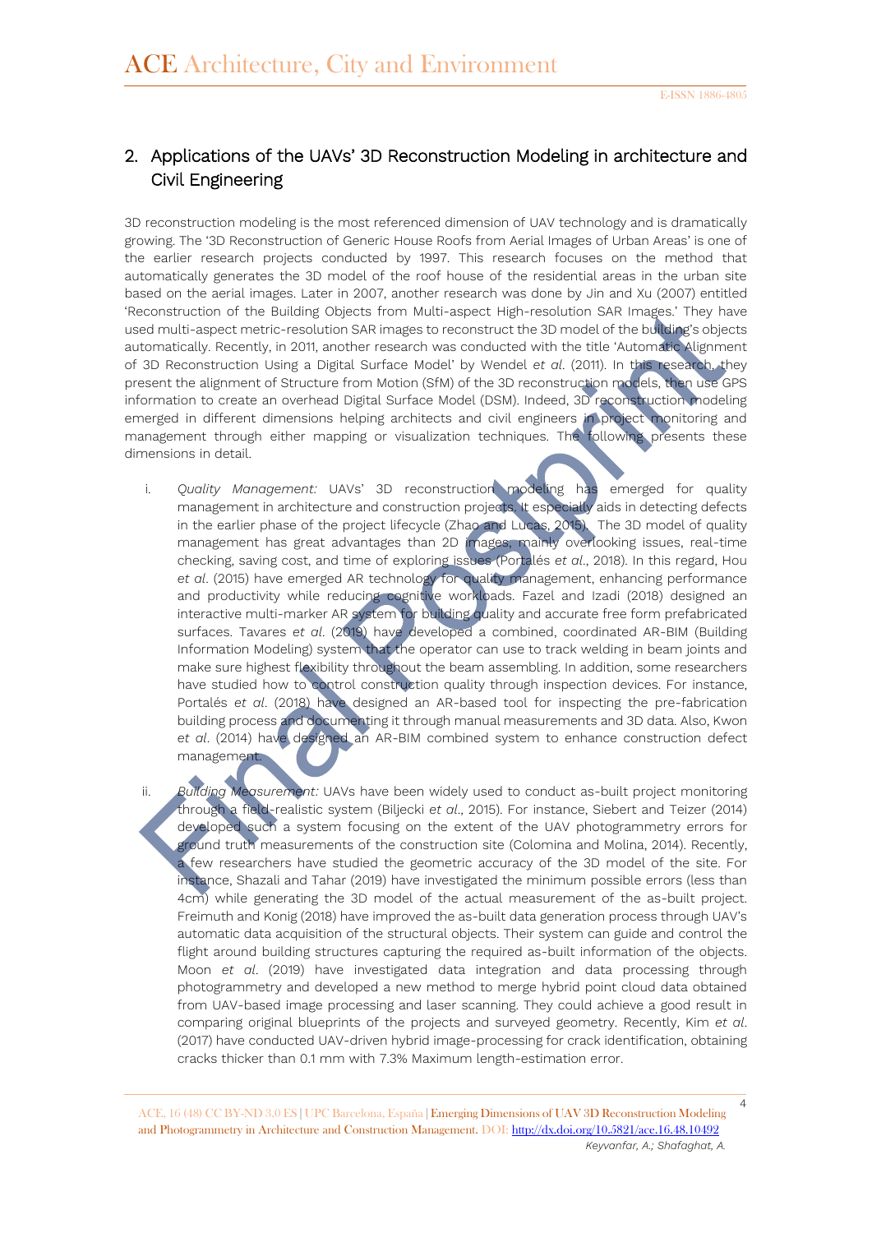# 2. Applications of the UAVs' 3D Reconstruction Modeling in architecture and Civil Engineering

3D reconstruction modeling is the most referenced dimension of UAV technology and is dramatically growing. The '3D Reconstruction of Generic House Roofs from Aerial Images of Urban Areas' is one of the earlier research projects conducted by 1997. This research focuses on the method that automatically generates the 3D model of the roof house of the residential areas in the urban site based on the aerial images. Later in 2007, another research was done by Jin and Xu (2007) entitled 'Reconstruction of the Building Objects from Multi-aspect High-resolution SAR Images.' They have used multi-aspect metric-resolution SAR images to reconstruct the 3D model of the building's objects automatically. Recently, in 2011, another research was conducted with the title 'Automatic Alignment of 3D Reconstruction Using a Digital Surface Model' by Wendel *et al*. (2011). In this research, they present the alignment of Structure from Motion (SfM) of the 3D reconstruction models, then use GPS information to create an overhead Digital Surface Model (DSM). Indeed, 3D reconstruction modeling emerged in different dimensions helping architects and civil engineers in project monitoring and management through either mapping or visualization techniques. The following presents these dimensions in detail.

i. *Quality Management:* UAVs' 3D reconstruction modeling has emerged for quality management in architecture and construction projects. It especially aids in detecting defects in the earlier phase of the project lifecycle (Zhao and Lucas, 2015). The 3D model of quality management has great advantages than 2D images, mainly overlooking issues, real-time checking, saving cost, and time of exploring issues (Portalés *et al*., 2018). In this regard, Hou *et al*. (2015) have emerged AR technology for quality management, enhancing performance and productivity while reducing cognitive workloads. Fazel and Izadi (2018) designed an interactive multi-marker AR system for building quality and accurate free form prefabricated surfaces. Tavares *et al*. (2019) have developed a combined, coordinated AR-BIM (Building Information Modeling) system that the operator can use to track welding in beam joints and make sure highest flexibility throughout the beam assembling. In addition, some researchers have studied how to control construction quality through inspection devices. For instance, Portalés *et al*. (2018) have designed an AR-based tool for inspecting the pre-fabrication building process and documenting it through manual measurements and 3D data. Also, Kwon et al. (2014) have designed an AR-BIM combined system to enhance construction defect management.

ii. *Building Measurement:* UAVs have been widely used to conduct as-built project monitoring through a field-realistic system (Biljecki *et al*., 2015). For instance, Siebert and Teizer (2014) developed such a system focusing on the extent of the UAV photogrammetry errors for ground truth measurements of the construction site (Colomina and Molina, 2014). Recently, a few researchers have studied the geometric accuracy of the 3D model of the site. For instance, Shazali and Tahar (2019) have investigated the minimum possible errors (less than 4cm) while generating the 3D model of the actual measurement of the as-built project. Freimuth and Konig (2018) have improved the as-built data generation process through UAV's automatic data acquisition of the structural objects. Their system can guide and control the flight around building structures capturing the required as-built information of the objects. Moon *et al*. (2019) have investigated data integration and data processing through photogrammetry and developed a new method to merge hybrid point cloud data obtained from UAV-based image processing and laser scanning. They could achieve a good result in comparing original blueprints of the projects and surveyed geometry. Recently, Kim *et al*. (2017) have conducted UAV-driven hybrid image-processing for crack identification, obtaining cracks thicker than 0.1 mm with 7.3% Maximum length-estimation error.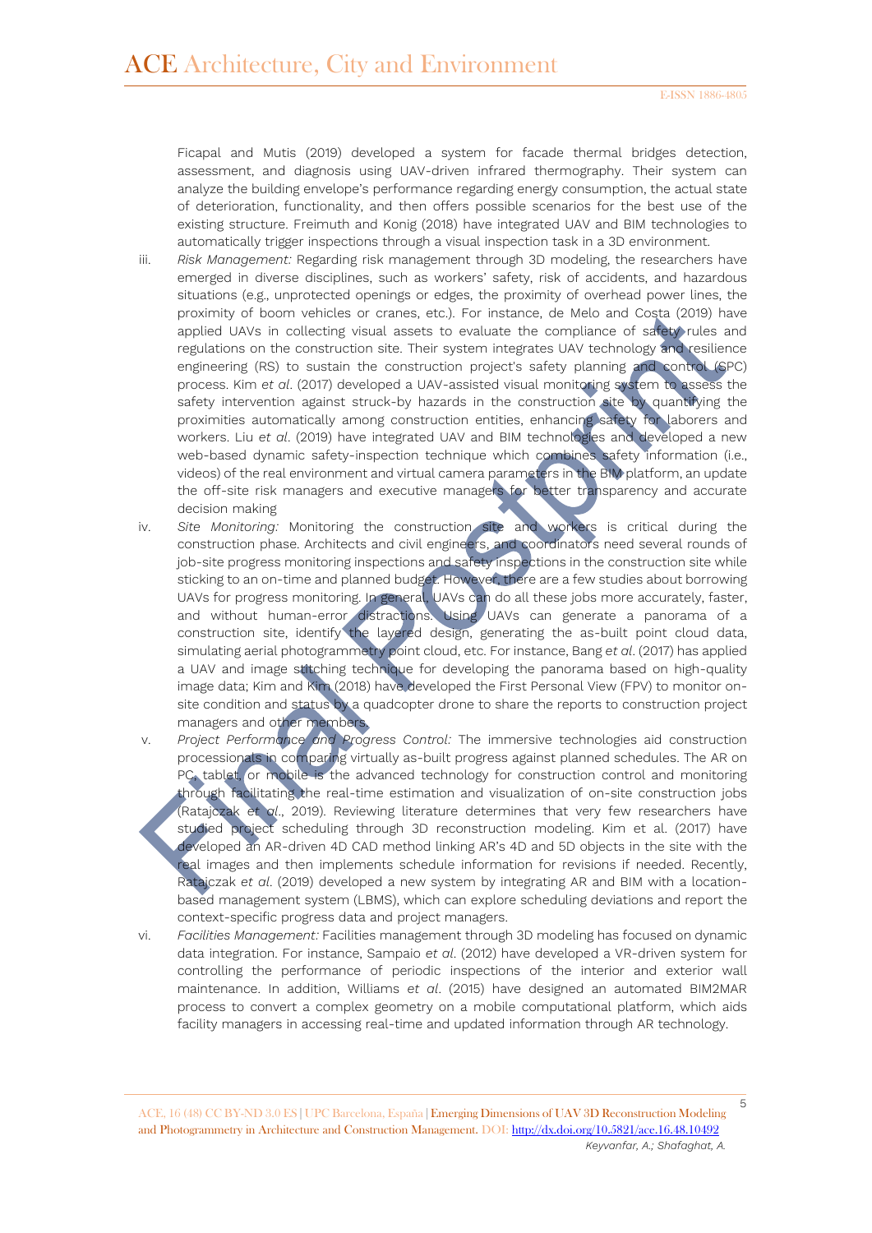Ficapal and Mutis (2019) developed a system for facade thermal bridges detection, assessment, and diagnosis using UAV-driven infrared thermography. Their system can analyze the building envelope's performance regarding energy consumption, the actual state of deterioration, functionality, and then offers possible scenarios for the best use of the existing structure. Freimuth and Konig (2018) have integrated UAV and BIM technologies to automatically trigger inspections through a visual inspection task in a 3D environment.

- iii. *Risk Management:* Regarding risk management through 3D modeling, the researchers have emerged in diverse disciplines, such as workers' safety, risk of accidents, and hazardous situations (e.g., unprotected openings or edges, the proximity of overhead power lines, the proximity of boom vehicles or cranes, etc.). For instance, de Melo and Costa (2019) have applied UAVs in collecting visual assets to evaluate the compliance of safety rules and regulations on the construction site. Their system integrates UAV technology and resilience engineering (RS) to sustain the construction project's safety planning and control (SPC) process. Kim *et al*. (2017) developed a UAV-assisted visual monitoring system to assess the safety intervention against struck-by hazards in the construction site by quantifying the proximities automatically among construction entities, enhancing safety for laborers and workers. Liu *et al*. (2019) have integrated UAV and BIM technologies and developed a new web-based dynamic safety-inspection technique which combines safety information (i.e., videos) of the real environment and virtual camera parameters in the BIM platform, an update the off-site risk managers and executive managers for better transparency and accurate decision making
- iv. *Site Monitoring:* Monitoring the construction site and workers is critical during the construction phase. Architects and civil engineers, and coordinators need several rounds of job-site progress monitoring inspections and safety inspections in the construction site while sticking to an on-time and planned budget. However, there are a few studies about borrowing UAVs for progress monitoring. In general, UAVs can do all these jobs more accurately, faster, and without human-error distractions. Using UAVs can generate a panorama of a construction site, identify the layered design, generating the as-built point cloud data, simulating aerial photogrammetry point cloud, etc. For instance, Bang *et al*. (2017) has applied a UAV and image stitching technique for developing the panorama based on high-quality image data; Kim and Kim (2018) have developed the First Personal View (FPV) to monitor onsite condition and status by a quadcopter drone to share the reports to construction project managers and other members.
- v. *Project Performance and Progress Control:* The immersive technologies aid construction processionals in comparing virtually as-built progress against planned schedules. The AR on PC, tablet, or mobile is the advanced technology for construction control and monitoring through facilitating the real-time estimation and visualization of on-site construction jobs (Ratajczak *et al*., 2019). Reviewing literature determines that very few researchers have studied project scheduling through 3D reconstruction modeling. Kim et al. (2017) have developed an AR-driven 4D CAD method linking AR's 4D and 5D objects in the site with the real images and then implements schedule information for revisions if needed. Recently, Ratajczak *et al*. (2019) developed a new system by integrating AR and BIM with a locationbased management system (LBMS), which can explore scheduling deviations and report the context-specific progress data and project managers.
- vi. *Facilities Management:* Facilities management through 3D modeling has focused on dynamic data integration. For instance, Sampaio *et al*. (2012) have developed a VR-driven system for controlling the performance of periodic inspections of the interior and exterior wall maintenance. In addition, Williams *et al*. (2015) have designed an automated BIM2MAR process to convert a complex geometry on a mobile computational platform, which aids facility managers in accessing real-time and updated information through AR technology.

<sup>5</sup> ACE, 16 (48) CC BY-ND 3.0 ES **|** UPC Barcelona, España **|** Emerging Dimensions of UAV 3D Reconstruction Modeling and Photogrammetry in Architecture and Construction Management. DOI[: http://dx.doi.org/10.5821/ace.16.48.10492](http://dx.doi.org/10.5821/ace.16.48.10492) *Keyvanfar, A.; Shafaghat, A.*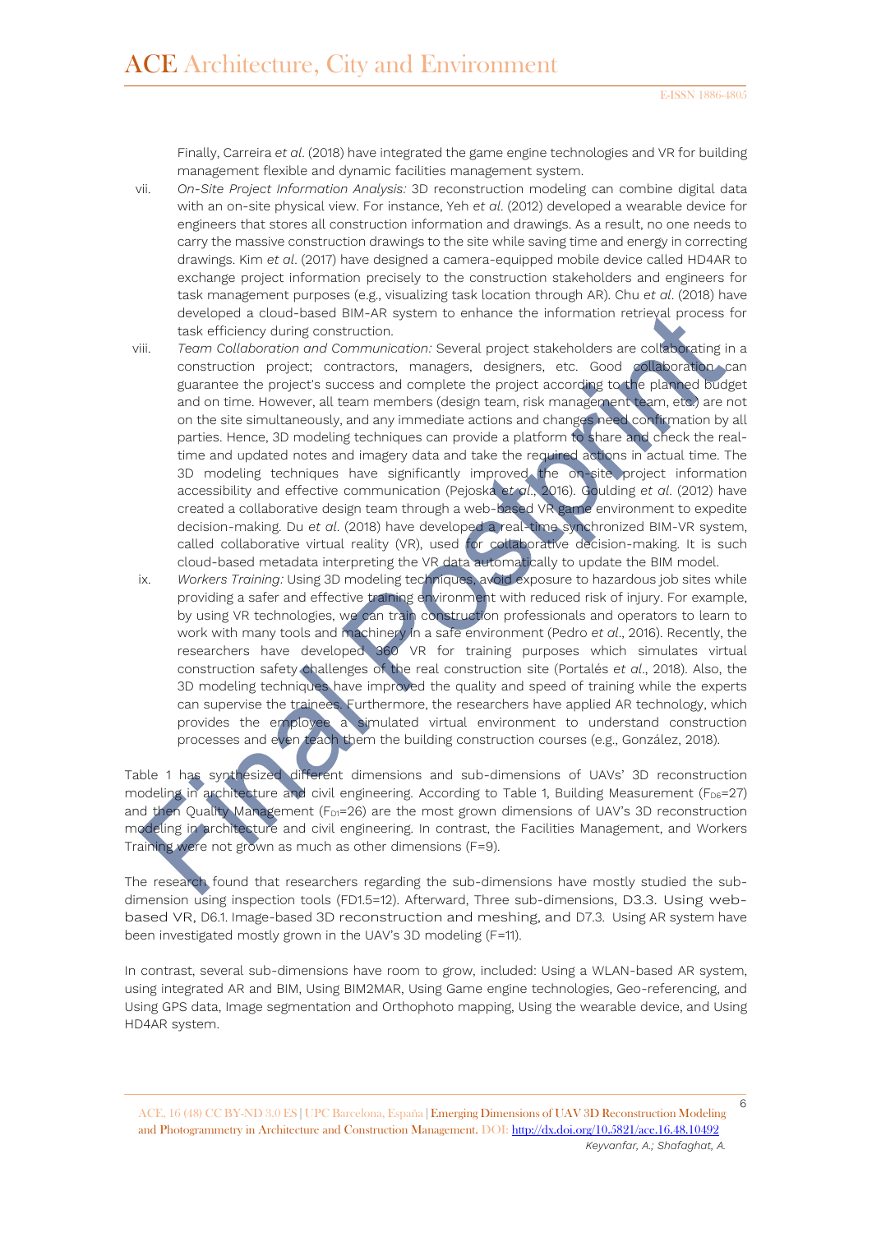Finally, Carreira *et al*. (2018) have integrated the game engine technologies and VR for building management flexible and dynamic facilities management system.

- vii. *On-Site Project Information Analysis:* 3D reconstruction modeling can combine digital data with an on-site physical view. For instance, Yeh *et al*. (2012) developed a wearable device for engineers that stores all construction information and drawings. As a result, no one needs to carry the massive construction drawings to the site while saving time and energy in correcting drawings. Kim *et al*. (2017) have designed a camera-equipped mobile device called HD4AR to exchange project information precisely to the construction stakeholders and engineers for task management purposes (e.g., visualizing task location through AR). Chu *et al*. (2018) have developed a cloud-based BIM-AR system to enhance the information retrieval process for task efficiency during construction.
- viii. *Team Collaboration and Communication:* Several project stakeholders are collaborating in a construction project; contractors, managers, designers, etc. Good collaboration can guarantee the project's success and complete the project according to the planned budget and on time. However, all team members (design team, risk management team, etc.) are not on the site simultaneously, and any immediate actions and changes need confirmation by all parties. Hence, 3D modeling techniques can provide a platform to share and check the realtime and updated notes and imagery data and take the required actions in actual time. The 3D modeling techniques have significantly improved the on-site project information accessibility and effective communication (Pejoska *et al*., 2016). Goulding *et al*. (2012) have created a collaborative design team through a web-based VR game environment to expedite decision-making. Du *et al*. (2018) have developed a real-time synchronized BIM-VR system, called collaborative virtual reality (VR), used for collaborative decision-making. It is such cloud-based metadata interpreting the VR data automatically to update the BIM model.
- ix. *Workers Training:* Using 3D modeling techniques, avoid exposure to hazardous job sites while providing a safer and effective training environment with reduced risk of injury. For example, by using VR technologies, we can train construction professionals and operators to learn to work with many tools and machinery in a safe environment (Pedro *et al*., 2016). Recently, the researchers have developed 360 VR for training purposes which simulates virtual construction safety challenges of the real construction site (Portalés *et al*., 2018). Also, the 3D modeling techniques have improved the quality and speed of training while the experts can supervise the trainees. Furthermore, the researchers have applied AR technology, which provides the employee a simulated virtual environment to understand construction processes and even teach them the building construction courses (e.g., González, 2018).

Table 1 has synthesized different dimensions and sub-dimensions of UAVs' 3D reconstruction modeling in architecture and civil engineering. According to Table 1, Building Measurement (F<sub>D6</sub>=27) and then Quality Management (F<sub>D1</sub>=26) are the most grown dimensions of UAV's 3D reconstruction modeling in architecture and civil engineering. In contrast, the Facilities Management, and Workers Training were not grown as much as other dimensions (F=9).

The research found that researchers regarding the sub-dimensions have mostly studied the subdimension using inspection tools (FD1.5=12). Afterward, Three sub-dimensions, D3.3. Using webbased VR, D6.1. Image-based 3D reconstruction and meshing, and D7.3. Using AR system have been investigated mostly grown in the UAV's 3D modeling (F=11).

In contrast, several sub-dimensions have room to grow, included: Using a WLAN-based AR system, using integrated AR and BIM, Using BIM2MAR, Using Game engine technologies, Geo-referencing, and Using GPS data, Image segmentation and Orthophoto mapping, Using the wearable device, and Using HD4AR system.

<sup>6</sup> ACE, 16 (48) CC BY-ND 3.0 ES **|** UPC Barcelona, España **|** Emerging Dimensions of UAV 3D Reconstruction Modeling and Photogrammetry in Architecture and Construction Management. DOI[: http://dx.doi.org/10.5821/ace.16.48.10492](http://dx.doi.org/10.5821/ace.16.48.10492) *Keyvanfar, A.; Shafaghat, A.*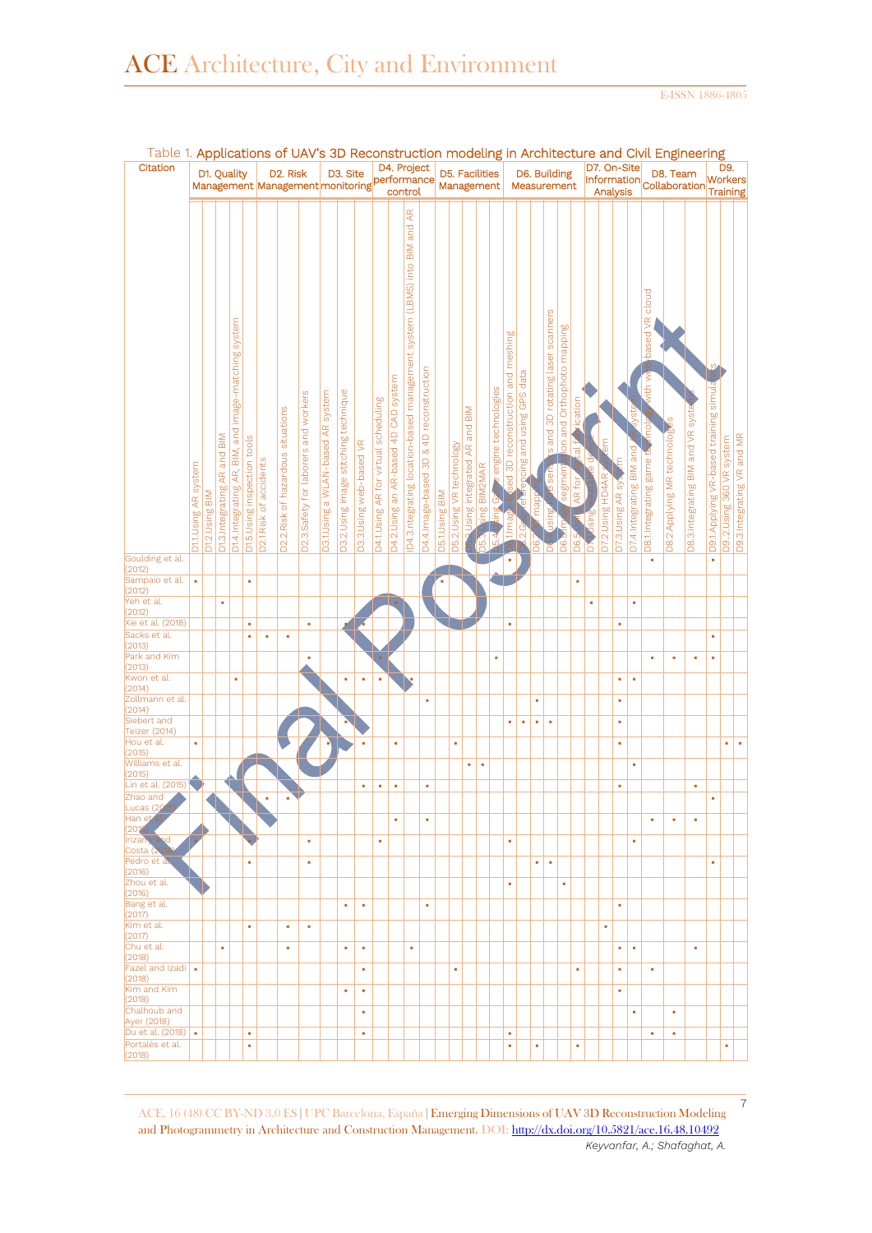E-ISSN 1886-4805

7

| Table 1. Applications of UAV's 3D Reconstruction modeling in Architecture and Civil Engineering |                     |               |                              |                                                           |                            |                                              |                                    |                                      |                                   |                                      |                          |                                      |                                       |                                                                         |                                         |                |                           |                                                              |             |                     |                                        |                            |             |                                                         |                                      |                        |                                                |                              |                  |                          |                                                    |                            |                                    |                                       |                             |                            |
|-------------------------------------------------------------------------------------------------|---------------------|---------------|------------------------------|-----------------------------------------------------------|----------------------------|----------------------------------------------|------------------------------------|--------------------------------------|-----------------------------------|--------------------------------------|--------------------------|--------------------------------------|---------------------------------------|-------------------------------------------------------------------------|-----------------------------------------|----------------|---------------------------|--------------------------------------------------------------|-------------|---------------------|----------------------------------------|----------------------------|-------------|---------------------------------------------------------|--------------------------------------|------------------------|------------------------------------------------|------------------------------|------------------|--------------------------|----------------------------------------------------|----------------------------|------------------------------------|---------------------------------------|-----------------------------|----------------------------|
| Citation                                                                                        |                     |               |                              |                                                           |                            | Management Management monitoring performance |                                    |                                      |                                   |                                      |                          |                                      |                                       |                                                                         | D5. Facilities<br>Management            |                |                           | D6. Building<br>Measurement                                  |             |                     |                                        |                            | D7. On-Site |                                                         |                                      |                        | D8. Team<br>Information Collaboration Training |                              |                  |                          | D9.                                                |                            |                                    |                                       |                             |                            |
|                                                                                                 | D11.Using AR system | D12.Using BIM | D1.3. Integrating AR and BIM | system<br>image-matching<br>01.4.Integrating AR, BIM, and | D15.Using inspection tools | 02.1. Risk of accidents                      | D2.2. Risk of hazardous situations | D2.3.Safety for laborers and workers | D3.1.Using a WLAN-based AR system | D3.2.Using image stitching technique | 03.3. Using web-based VR | 04.1.Using AR for virtual scheduling | 04.2. Using an AR-based 4D CAD system | D4.3.ntegrating location-based management system (LBMS) into BIM and AR | D4.4.Image-based 3D & 4D reconstruction | D5.1.Using BIM | 05.2. Using VR technology | $\frac{\mathsf{N}}{\mathsf{N}}$<br>and<br>sing integrated AR | ing BIM2MAR | engine technologies | meshing<br>reconstruction and<br>ed 3D | and using GPS data<br>cing | map         | s and 3D rotating laser scanners<br>କ<br>ଉ<br><u>ia</u> | ion and Orthophoto mapping<br>segmen | ication<br>쿈<br>AR for | is<br>Sing                                     | ξ<br><b>D7.2.Using HD4AR</b> | D7.3.Using AR sy | D7.4.Integrating BIM and | based VR cloud<br>vith wi<br>D8.1.Integrating game | 08.2.Applying MR technolog | 08.3. Integrating BIM and VR syste | D9.1Applying VR-based training simula | system<br>D9.2.Using 360 VR | D9.3.Integrating VR and MR |
| Goulding et al.                                                                                 |                     |               |                              |                                                           |                            |                                              |                                    |                                      |                                   |                                      |                          |                                      |                                       |                                                                         |                                         |                |                           |                                                              |             |                     |                                        |                            |             |                                                         | D6                                   | <b>D6.5</b>            | ö                                              |                              |                  |                          | ٠                                                  |                            |                                    | ×                                     |                             |                            |
| (2012)<br>Sampaio et al.                                                                        | ×                   |               |                              |                                                           | ٠                          |                                              |                                    |                                      |                                   |                                      |                          |                                      |                                       |                                                                         |                                         |                |                           |                                                              |             |                     |                                        |                            |             |                                                         |                                      | ٠                      |                                                |                              |                  |                          |                                                    |                            |                                    |                                       |                             |                            |
| (2012)<br>Yeh et al.                                                                            |                     |               | ٠                            |                                                           |                            |                                              |                                    |                                      |                                   |                                      |                          |                                      |                                       |                                                                         |                                         |                |                           |                                                              |             |                     |                                        |                            |             |                                                         |                                      |                        | ٠                                              |                              |                  | ٠                        |                                                    |                            |                                    |                                       |                             |                            |
| (2012)<br>Xie et al. (2018)                                                                     |                     |               |                              |                                                           | ٠                          |                                              |                                    | ٠                                    |                                   |                                      |                          |                                      |                                       |                                                                         |                                         |                |                           |                                                              |             |                     | à,                                     |                            |             |                                                         |                                      |                        |                                                |                              | ٠                |                          |                                                    |                            |                                    |                                       |                             |                            |
| Sacks et al.<br>(2013)                                                                          |                     |               |                              |                                                           | ٠                          | ×                                            | ٠                                  |                                      |                                   |                                      |                          |                                      |                                       |                                                                         |                                         |                |                           |                                                              |             |                     |                                        |                            |             |                                                         |                                      |                        |                                                |                              |                  |                          |                                                    |                            |                                    | ×                                     |                             |                            |
| Park and Kim<br>(2013)                                                                          |                     |               |                              |                                                           |                            |                                              |                                    | ×                                    |                                   |                                      |                          |                                      |                                       |                                                                         |                                         |                |                           |                                                              |             | ×                   |                                        |                            |             |                                                         |                                      |                        |                                                |                              |                  |                          | ×                                                  | ×                          | ×                                  | ×                                     |                             |                            |
| Kwon et al.<br>(2014)                                                                           |                     |               |                              | ×                                                         |                            |                                              |                                    |                                      |                                   | ×                                    | ×                        |                                      |                                       |                                                                         |                                         |                |                           |                                                              |             |                     |                                        |                            |             |                                                         |                                      |                        |                                                |                              | ٠                | ×                        |                                                    |                            |                                    |                                       |                             |                            |
| Zollmann et al.<br>(2014)                                                                       |                     |               |                              |                                                           |                            |                                              |                                    |                                      |                                   |                                      |                          |                                      |                                       |                                                                         | ٠                                       |                |                           |                                                              |             |                     |                                        |                            | ٠           |                                                         |                                      |                        |                                                |                              | ٠                |                          |                                                    |                            |                                    |                                       |                             |                            |
| Siebert and                                                                                     |                     |               |                              |                                                           |                            |                                              |                                    |                                      |                                   |                                      |                          |                                      |                                       |                                                                         |                                         |                |                           |                                                              |             |                     | ٠                                      | ٠                          | ×           | ٠                                                       |                                      |                        |                                                |                              | ٠                |                          |                                                    |                            |                                    |                                       |                             |                            |
| Teizer (2014)<br>Hou et al.                                                                     | à,                  |               |                              |                                                           |                            |                                              |                                    |                                      |                                   |                                      | ٠                        |                                      | ٠                                     |                                                                         |                                         |                | ×                         |                                                              |             |                     |                                        |                            |             |                                                         |                                      |                        |                                                |                              | ٠                |                          |                                                    |                            |                                    |                                       | ×                           | ×                          |
| (2015)<br>Williams et al.                                                                       |                     |               |                              |                                                           |                            |                                              |                                    |                                      |                                   |                                      |                          |                                      |                                       |                                                                         |                                         |                |                           | ٠                                                            | ٠           |                     |                                        |                            |             |                                                         |                                      |                        |                                                |                              |                  | ×                        |                                                    |                            |                                    |                                       |                             |                            |
| (2015)<br>Lin et al. (2015)                                                                     |                     |               |                              |                                                           |                            |                                              |                                    |                                      |                                   |                                      | ٠                        | ٠                                    | ٠                                     |                                                                         | ٠                                       |                |                           |                                                              |             |                     |                                        |                            |             |                                                         |                                      |                        |                                                |                              | ×                |                          |                                                    |                            | ×                                  |                                       |                             |                            |
| Zhao and<br>Lucas (201                                                                          |                     |               |                              |                                                           |                            |                                              |                                    |                                      |                                   |                                      |                          |                                      |                                       |                                                                         |                                         |                |                           |                                                              |             |                     |                                        |                            |             |                                                         |                                      |                        |                                                |                              |                  |                          |                                                    |                            |                                    | ×                                     |                             |                            |
| Han et<br>(2015)<br><b>Irizarry</b> and                                                         |                     |               |                              |                                                           |                            |                                              |                                    | ٠                                    |                                   |                                      |                          | ٠                                    | ٠                                     |                                                                         | ٠                                       |                |                           |                                                              |             |                     |                                        |                            |             |                                                         |                                      |                        |                                                |                              |                  |                          | ٠                                                  | ٠                          | ٠                                  |                                       |                             |                            |
| Costa (2016)<br>Pedro et al                                                                     |                     |               |                              |                                                           | ٠                          |                                              |                                    | ٠                                    |                                   |                                      |                          |                                      |                                       |                                                                         |                                         |                |                           |                                                              |             |                     | ٠                                      |                            |             | ×                                                       |                                      |                        |                                                |                              |                  | ٠                        |                                                    |                            |                                    | ٠                                     |                             |                            |
| (2016)<br>Zhou et al.                                                                           |                     |               |                              |                                                           |                            |                                              |                                    |                                      |                                   |                                      |                          |                                      |                                       |                                                                         |                                         |                |                           |                                                              |             |                     | ٠                                      |                            | ٠           |                                                         | ٠                                    |                        |                                                |                              |                  |                          |                                                    |                            |                                    |                                       |                             |                            |
| (2016)<br>Bang et al.                                                                           |                     |               |                              |                                                           |                            |                                              |                                    |                                      |                                   |                                      |                          |                                      |                                       |                                                                         | ٠                                       |                |                           |                                                              |             |                     |                                        |                            |             |                                                         |                                      |                        |                                                |                              | ٠                |                          |                                                    |                            |                                    |                                       |                             |                            |
| (2017)<br>Kim et al.                                                                            |                     |               |                              |                                                           |                            |                                              |                                    |                                      |                                   | ٠                                    | ٠                        |                                      |                                       |                                                                         |                                         |                |                           |                                                              |             |                     |                                        |                            |             |                                                         |                                      |                        |                                                |                              |                  |                          |                                                    |                            |                                    |                                       |                             |                            |
| (2017)<br>Chu et al.                                                                            |                     |               |                              |                                                           | ٠                          |                                              | ٠                                  | ٠                                    |                                   |                                      |                          |                                      |                                       |                                                                         |                                         |                |                           |                                                              |             |                     |                                        |                            |             |                                                         |                                      |                        |                                                | ٠                            |                  |                          |                                                    |                            |                                    |                                       |                             |                            |
| (2018)                                                                                          |                     |               | ٠                            |                                                           |                            |                                              | ٠                                  |                                      |                                   | ٠                                    | ٠                        |                                      |                                       | ٠                                                                       |                                         |                |                           |                                                              |             |                     |                                        |                            |             |                                                         |                                      |                        |                                                |                              | ٠                | ٠                        |                                                    |                            | ٠                                  |                                       |                             |                            |
| Fazel and Izadi<br>(2018)                                                                       | ×                   |               |                              |                                                           |                            |                                              |                                    |                                      |                                   |                                      | ٠                        |                                      |                                       |                                                                         |                                         |                | ٠                         |                                                              |             |                     |                                        |                            |             |                                                         |                                      | ٠                      |                                                |                              | ٠                |                          | ٠                                                  |                            |                                    |                                       |                             |                            |
| Kim and Kim<br>(2018)                                                                           |                     |               |                              |                                                           |                            |                                              |                                    |                                      |                                   | ٠                                    | ×                        |                                      |                                       |                                                                         |                                         |                |                           |                                                              |             |                     |                                        |                            |             |                                                         |                                      |                        |                                                |                              | ٠                |                          |                                                    |                            |                                    |                                       |                             |                            |
| Chalhoub and<br>Ayer (2018)                                                                     |                     |               |                              |                                                           |                            |                                              |                                    |                                      |                                   |                                      | ٠                        |                                      |                                       |                                                                         |                                         |                |                           |                                                              |             |                     |                                        |                            |             |                                                         |                                      |                        |                                                |                              |                  | ٠                        |                                                    | ٠                          |                                    |                                       |                             |                            |
| Du et al. $(2018)$ .<br>Portalés et al.                                                         |                     |               |                              |                                                           | ٠<br>٠                     |                                              |                                    |                                      |                                   |                                      | ٠                        |                                      |                                       |                                                                         |                                         |                |                           |                                                              |             |                     | ٠<br>٠                                 |                            | ٠           |                                                         |                                      | ٠                      |                                                |                              |                  |                          | ٠                                                  | ٠                          |                                    |                                       | ٠                           |                            |
| (2018)                                                                                          |                     |               |                              |                                                           |                            |                                              |                                    |                                      |                                   |                                      |                          |                                      |                                       |                                                                         |                                         |                |                           |                                                              |             |                     |                                        |                            |             |                                                         |                                      |                        |                                                |                              |                  |                          |                                                    |                            |                                    |                                       |                             |                            |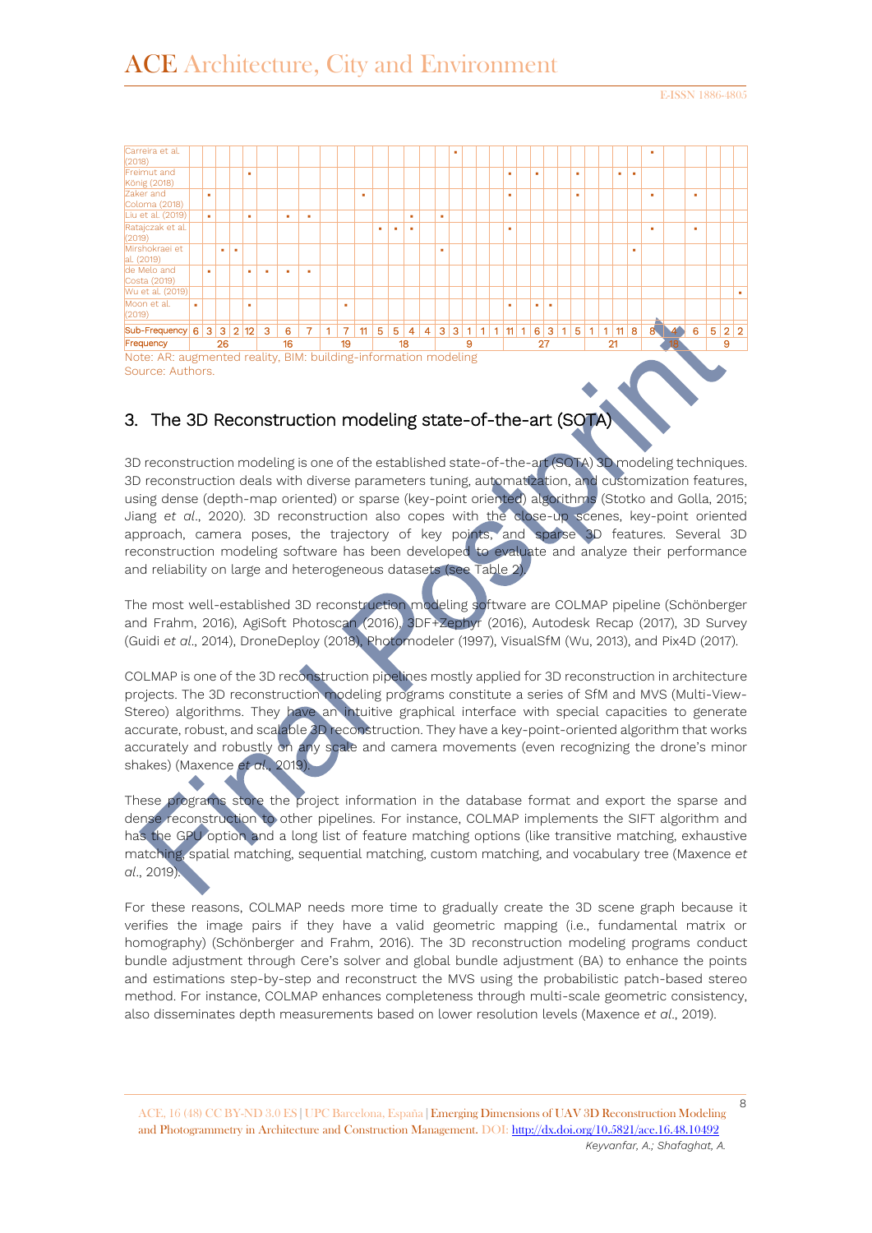

## 3. The 3D Reconstruction modeling state-of-the-art (SOTA)

3D reconstruction modeling is one of the established state-of-the-art (SOTA) 3D modeling techniques. 3D reconstruction deals with diverse parameters tuning, automatization, and customization features, using dense (depth-map oriented) or sparse (key-point oriented) algorithms (Stotko and Golla, 2015; Jiang *et al*., 2020). 3D reconstruction also copes with the close-up scenes, key-point oriented approach, camera poses, the trajectory of key points, and sparse 3D features. Several 3D reconstruction modeling software has been developed to evaluate and analyze their performance and reliability on large and heterogeneous datasets (see Table 2).

The most well-established 3D reconstruction modeling software are COLMAP pipeline (Schönberger and Frahm, 2016), AgiSoft Photoscan (2016), 3DF+Zephyr (2016), Autodesk Recap (2017), 3D Survey (Guidi *et al*., 2014), DroneDeploy (2018), Photomodeler (1997), VisualSfM (Wu, 2013), and Pix4D (2017).

COLMAP is one of the 3D reconstruction pipelines mostly applied for 3D reconstruction in architecture projects. The 3D reconstruction modeling programs constitute a series of SfM and MVS (Multi-View-Stereo) algorithms. They have an intuitive graphical interface with special capacities to generate accurate, robust, and scalable 3D reconstruction. They have a key-point-oriented algorithm that works accurately and robustly on any scale and camera movements (even recognizing the drone's minor shakes) (Maxence *et al*., 2019).

These programs store the project information in the database format and export the sparse and dense reconstruction to other pipelines. For instance, COLMAP implements the SIFT algorithm and has the GPU option and a long list of feature matching options (like transitive matching, exhaustive matching, spatial matching, sequential matching, custom matching, and vocabulary tree (Maxence *et al*., 2019).

For these reasons, COLMAP needs more time to gradually create the 3D scene graph because it verifies the image pairs if they have a valid geometric mapping (i.e., fundamental matrix or homography) (Schönberger and Frahm, 2016). The 3D reconstruction modeling programs conduct bundle adjustment through Cere's solver and global bundle adjustment (BA) to enhance the points and estimations step-by-step and reconstruct the MVS using the probabilistic patch-based stereo method. For instance, COLMAP enhances completeness through multi-scale geometric consistency, also disseminates depth measurements based on lower resolution levels (Maxence *et al*., 2019).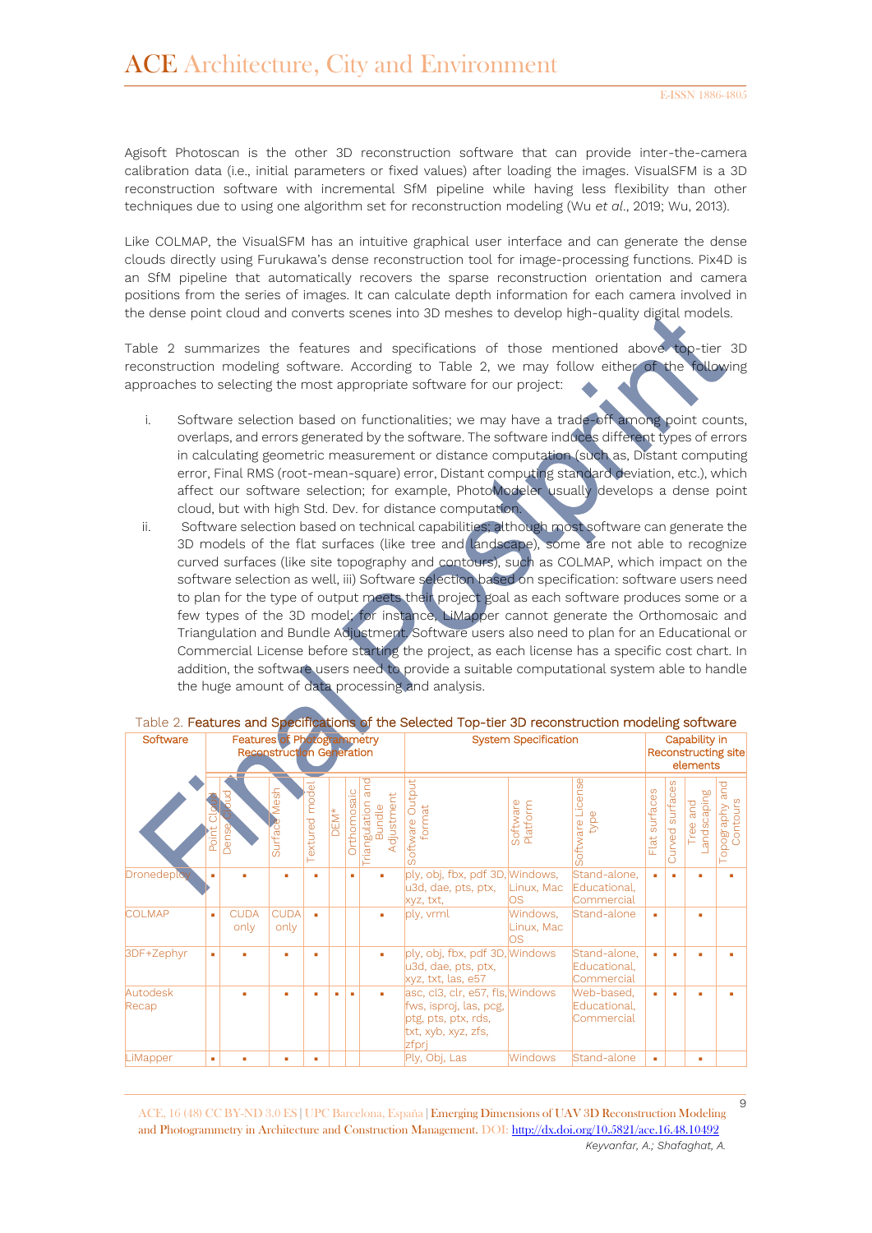$\circ$ 

Agisoft Photoscan is the other 3D reconstruction software that can provide inter-the-camera calibration data (i.e., initial parameters or fixed values) after loading the images. VisualSFM is a 3D reconstruction software with incremental SfM pipeline while having less flexibility than other techniques due to using one algorithm set for reconstruction modeling (Wu *et al*., 2019; Wu, 2013).

Like COLMAP, the VisualSFM has an intuitive graphical user interface and can generate the dense clouds directly using Furukawa's dense reconstruction tool for image-processing functions. Pix4D is an SfM pipeline that automatically recovers the sparse reconstruction orientation and camera positions from the series of images. It can calculate depth information for each camera involved in the dense point cloud and converts scenes into 3D meshes to develop high-quality digital models.

Table 2 summarizes the features and specifications of those mentioned above top-tier 3D reconstruction modeling software. According to Table 2, we may follow either of the following approaches to selecting the most appropriate software for our project:

- i. Software selection based on functionalities; we may have a trade-off among point counts, overlaps, and errors generated by the software. The software induces different types of errors in calculating geometric measurement or distance computation (such as, Distant computing error, Final RMS (root-mean-square) error, Distant computing standard deviation, etc.), which affect our software selection; for example, PhotoModeler usually develops a dense point cloud, but with high Std. Dev. for distance computation.
- ii. Software selection based on technical capabilities; although most software can generate the 3D models of the flat surfaces (like tree and landscape), some are not able to recognize curved surfaces (like site topography and contours), such as COLMAP, which impact on the software selection as well, iii) Software selection based on specification: software users need to plan for the type of output meets their project goal as each software produces some or a few types of the 3D model; for instance, LiMapper cannot generate the Orthomosaic and Triangulation and Bundle Adjustment. Software users also need to plan for an Educational or Commercial License before starting the project, as each license has a specific cost chart. In addition, the software users need to provide a suitable computational system able to handle the huge amount of data processing and analysis.

| Software          |     | <b>Features of Photogrammetry</b> | <b>Reconstruction Generation</b> |                       |      |             |                                                | <b>System Specification</b>                                                                                       | Capability in<br>Reconstructing site<br>elements |                                            |                  |                    |                           |                                 |
|-------------------|-----|-----------------------------------|----------------------------------|-----------------------|------|-------------|------------------------------------------------|-------------------------------------------------------------------------------------------------------------------|--------------------------------------------------|--------------------------------------------|------------------|--------------------|---------------------------|---------------------------------|
|                   | ior | Dense                             | Aesh<br>Surface                  | <b>Textured</b> model | DEM* | Orthomosaic | and<br>Adjustment<br>Triangulation a<br>Bundle | Outpu<br>Software Our                                                                                             | Software<br>Platform                             | Software License<br>type                   | surfaces<br>Flat | surfaces<br>Curved | andscaping<br>and<br>Tree | and<br>Topography a<br>Contours |
| Dronedeploy       | ٠   |                                   |                                  | ٠                     |      | ٠           |                                                | ply, obj, fbx, pdf 3D, Windows,<br>u3d, dae, pts, ptx,<br>xyz, txt,                                               | Linux, Mac<br>los.                               | Stand-alone,<br>Educational,<br>Commercial | ٠                |                    |                           | ٠                               |
| <b>COLMAP</b>     | ٠   | <b>CUDA</b><br>only               | <b>CUDA</b><br>only              | ٠                     |      |             | ٠                                              | ply, vrml                                                                                                         | Windows,<br>Linux, Mac<br>los                    | Stand-alone                                | ٠                |                    | ٠                         |                                 |
| 3DF+Zephyr        | ٠   |                                   | ٠                                | ٠                     |      |             | ٠                                              | ply, obj, fbx, pdf 3D, Windows<br>u3d, dae, pts, ptx,<br>xyz, txt, las, e57                                       |                                                  | Stand-alone,<br>Educational,<br>Commercial | ٠                |                    |                           | ٠                               |
| Autodesk<br>Recap |     | ٠                                 | ٠                                | ٠                     | ٠    | ٠           | ٠                                              | asc, cl3, clr, e57, fls, Windows<br>fws, isproj, las, pcg,<br>ptg, pts, ptx, rds,<br>txt, xyb, xyz, zfs,<br>zfpri |                                                  | Web-based,<br>Educational.<br>Commercial   | ٠                |                    |                           | ٠                               |
| LiMapper          | ٠   | ٠                                 | ٠                                | ٠                     |      |             |                                                | Ply, Obj, Las                                                                                                     | <b>Windows</b>                                   | Stand-alone                                | ٠                |                    | ٠                         |                                 |

#### Table 2. Features and Specifications of the Selected Top-tier 3D reconstruction modeling software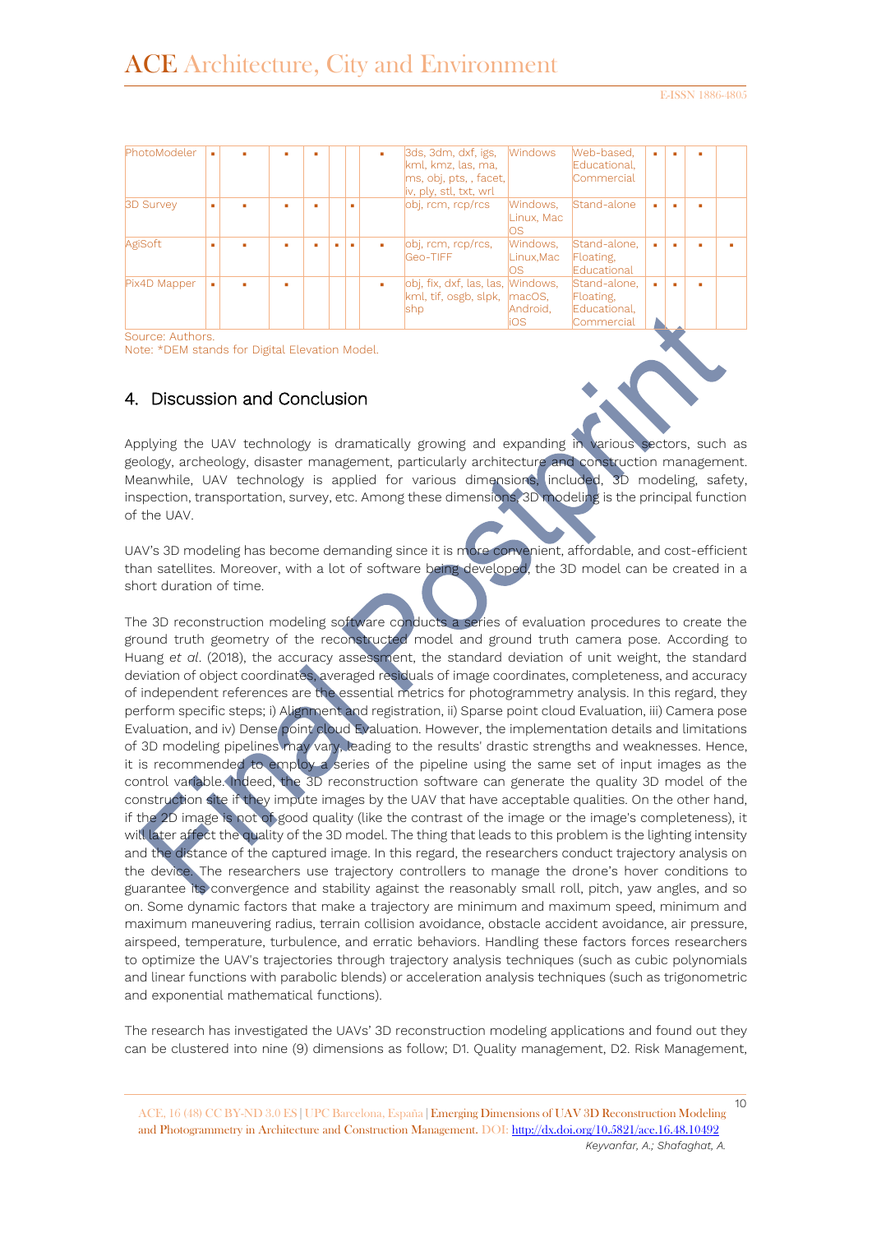| PhotoModeler     |  |   |  | ٠ | 3ds, 3dm, dxf, igs,<br>kml, kmz, las, ma,<br>ms, obj, pts, , facet,<br>iv, ply, stl, txt, wrl | <b>Windows</b>               | Web-based,<br>Educational.<br>Commercial                |   |  |
|------------------|--|---|--|---|-----------------------------------------------------------------------------------------------|------------------------------|---------------------------------------------------------|---|--|
| <b>BD Survey</b> |  |   |  |   | obj, rcm, rcp/rcs                                                                             | Windows,<br>Linux. Mac<br>ΟS | Stand-alone                                             | ۰ |  |
| AgiSoft          |  |   |  |   | obj, rcm, rcp/rcs,<br>Geo-TIFF                                                                | Windows,<br>Linux.Mac<br>OS  | Stand-alone,<br>Floating,<br>Educational                | ۰ |  |
| Pix4D Mapper     |  | ٠ |  | ٠ | obi, fix, dxf, las, las, Mindows,<br>$kml$ , tif, osgb, slpk, $\vert$ macOS,<br>shp           | Android.<br>iOS              | Stand-alone,<br>Floating,<br>Educational,<br>Commercial | ۰ |  |

Source: Authors.

Note: \*DEM stands for Digital Elevation Model.

## 4. Discussion and Conclusion

Applying the UAV technology is dramatically growing and expanding in various sectors, such as geology, archeology, disaster management, particularly architecture and construction management. Meanwhile, UAV technology is applied for various dimensions, included, 3D modeling, safety, inspection, transportation, survey, etc. Among these dimensions, 3D modeling is the principal function of the UAV.

UAV's 3D modeling has become demanding since it is more convenient, affordable, and cost-efficient than satellites. Moreover, with a lot of software being developed, the 3D model can be created in a short duration of time.

The 3D reconstruction modeling software conducts a series of evaluation procedures to create the ground truth geometry of the reconstructed model and ground truth camera pose. According to Huang *et al*. (2018), the accuracy assessment, the standard deviation of unit weight, the standard deviation of object coordinates, averaged residuals of image coordinates, completeness, and accuracy of independent references are the essential metrics for photogrammetry analysis. In this regard, they perform specific steps; i) Alignment and registration, ii) Sparse point cloud Evaluation, iii) Camera pose Evaluation, and iv) Dense point cloud Evaluation. However, the implementation details and limitations of 3D modeling pipelines may vary, leading to the results' drastic strengths and weaknesses. Hence, it is recommended to employ a series of the pipeline using the same set of input images as the control variable. Indeed, the 3D reconstruction software can generate the quality 3D model of the construction site if they impute images by the UAV that have acceptable qualities. On the other hand, if the 2D image is not of good quality (like the contrast of the image or the image's completeness), it will later affect the quality of the 3D model. The thing that leads to this problem is the lighting intensity and the distance of the captured image. In this regard, the researchers conduct trajectory analysis on the device. The researchers use trajectory controllers to manage the drone's hover conditions to guarantee its convergence and stability against the reasonably small roll, pitch, yaw angles, and so on. Some dynamic factors that make a trajectory are minimum and maximum speed, minimum and maximum maneuvering radius, terrain collision avoidance, obstacle accident avoidance, air pressure, airspeed, temperature, turbulence, and erratic behaviors. Handling these factors forces researchers to optimize the UAV's trajectories through trajectory analysis techniques (such as cubic polynomials and linear functions with parabolic blends) or acceleration analysis techniques (such as trigonometric and exponential mathematical functions).

The research has investigated the UAVs' 3D reconstruction modeling applications and found out they can be clustered into nine (9) dimensions as follow; D1. Quality management, D2. Risk Management,

<sup>10</sup> ACE, 16 (48) CC BY-ND 3.0 ES **|** UPC Barcelona, España **|** Emerging Dimensions of UAV 3D Reconstruction Modeling and Photogrammetry in Architecture and Construction Management. DOI[: http://dx.doi.org/10.5821/ace.16.48.10492](http://dx.doi.org/10.5821/ace.16.48.10492) *Keyvanfar, A.; Shafaghat, A.*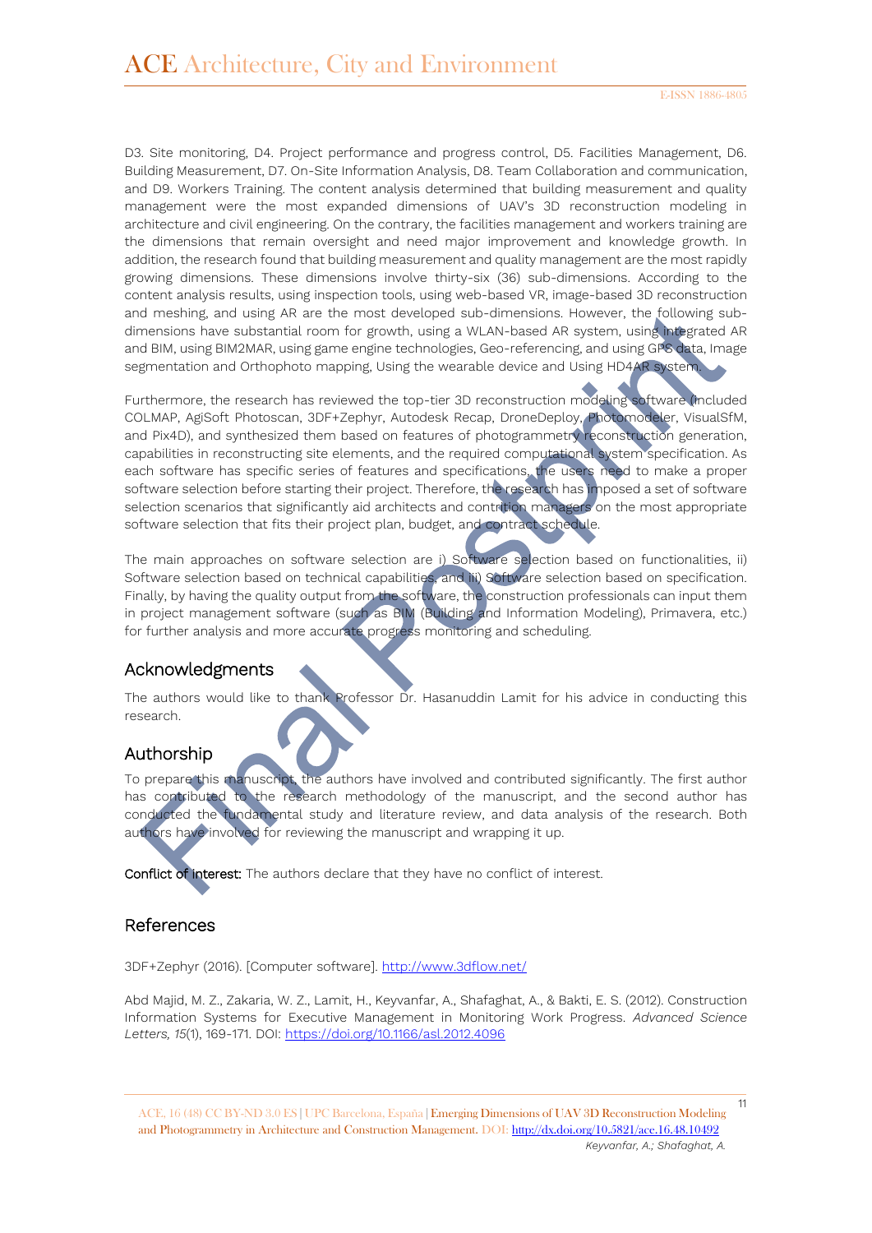D3. Site monitoring, D4. Project performance and progress control, D5. Facilities Management, D6. Building Measurement, D7. On-Site Information Analysis, D8. Team Collaboration and communication, and D9. Workers Training. The content analysis determined that building measurement and quality management were the most expanded dimensions of UAV's 3D reconstruction modeling in architecture and civil engineering. On the contrary, the facilities management and workers training are the dimensions that remain oversight and need major improvement and knowledge growth. In addition, the research found that building measurement and quality management are the most rapidly growing dimensions. These dimensions involve thirty-six (36) sub-dimensions. According to the content analysis results, using inspection tools, using web-based VR, image-based 3D reconstruction and meshing, and using AR are the most developed sub-dimensions. However, the following subdimensions have substantial room for growth, using a WLAN-based AR system, using integrated AR and BIM, using BIM2MAR, using game engine technologies, Geo-referencing, and using GPS data, Image segmentation and Orthophoto mapping, Using the wearable device and Using HD4AR system.

Furthermore, the research has reviewed the top-tier 3D reconstruction modeling software (included COLMAP, AgiSoft Photoscan, 3DF+Zephyr, Autodesk Recap, DroneDeploy, Photomodeler, VisualSfM, and Pix4D), and synthesized them based on features of photogrammetry reconstruction generation, capabilities in reconstructing site elements, and the required computational system specification. As each software has specific series of features and specifications, the users need to make a proper software selection before starting their project. Therefore, the research has imposed a set of software selection scenarios that significantly aid architects and contrition managers on the most appropriate software selection that fits their project plan, budget, and contract schedule.

The main approaches on software selection are i) Software selection based on functionalities, ii) Software selection based on technical capabilities, and iii) Software selection based on specification. Finally, by having the quality output from the software, the construction professionals can input them in project management software (such as BIM (Building and Information Modeling), Primavera, etc.) for further analysis and more accurate progress monitoring and scheduling.

## Acknowledgments

The authors would like to thank Professor  $\bar{D}r$ . Hasanuddin Lamit for his advice in conducting this research.

#### Authorship

To prepare this manuscript, the authors have involved and contributed significantly. The first author has contributed to the research methodology of the manuscript, and the second author has conducted the fundamental study and literature review, and data analysis of the research. Both authors have involved for reviewing the manuscript and wrapping it up.

Conflict of interest: The authors declare that they have no conflict of interest.

## References

3DF+Zephyr (2016). [Computer software]. <http://www.3dflow.net/>

Abd Majid, M. Z., Zakaria, W. Z., Lamit, H., Keyvanfar, A., Shafaghat, A., & Bakti, E. S. (2012). Construction Information Systems for Executive Management in Monitoring Work Progress. *Advanced Science Letters, 15*(1), 169-171. DOI:<https://doi.org/10.1166/asl.2012.4096>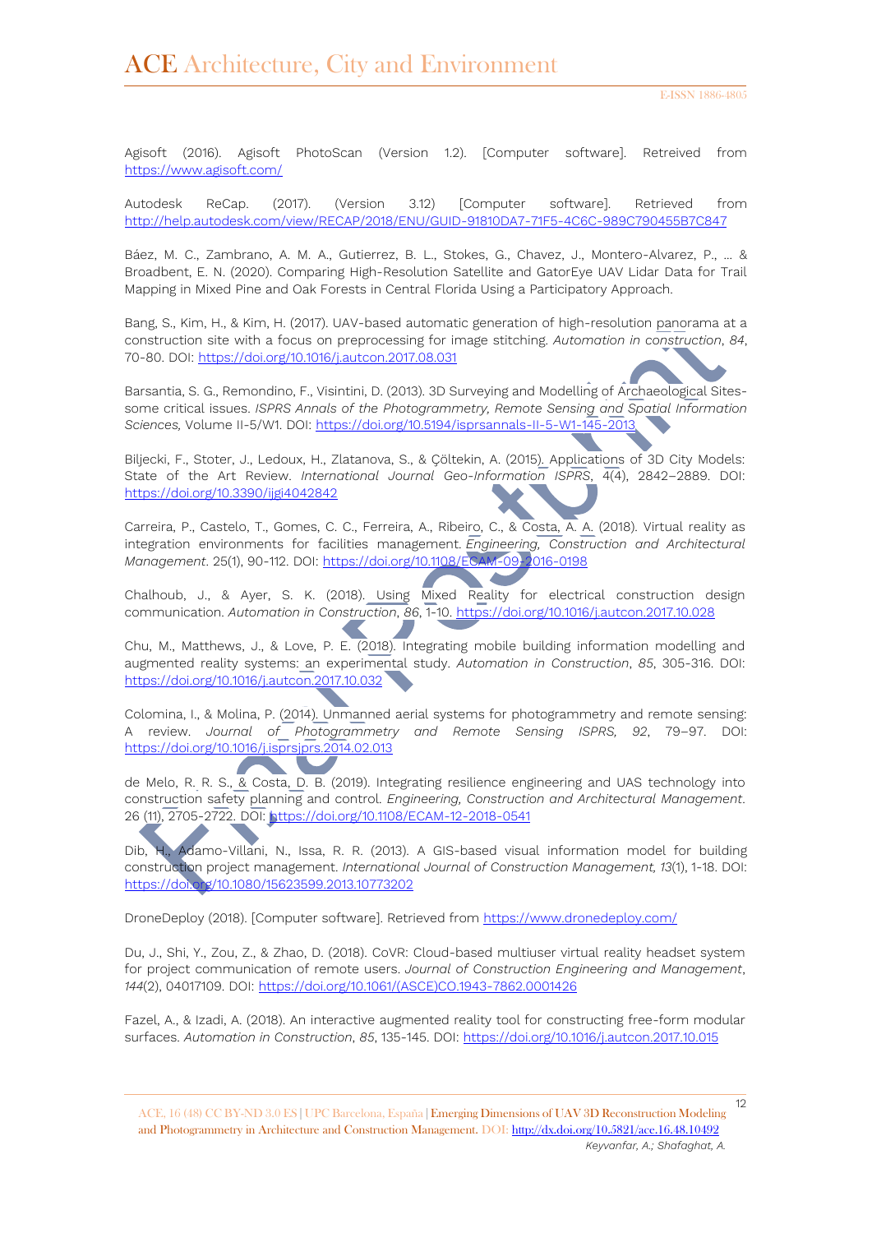Agisoft (2016). Agisoft PhotoScan (Version 1.2). [Computer software]. Retreived from <https://www.agisoft.com/>

Autodesk ReCap. (2017). (Version 3.12) [Computer software]. Retrieved from [http://help.autodesk.com/view/RECAP/2018/ENU/GUID-91810DA7-71F5-4C6C-989C790455B7C847](http://help.autodesk.com/view/RECAP/2018/ENU/?guid=GUID-91810DA7-71F5-4C6C-989C790455B7C847)

Báez, M. C., Zambrano, A. M. A., Gutierrez, B. L., Stokes, G., Chavez, J., Montero-Alvarez, P., ... & Broadbent, E. N. (2020). Comparing High-Resolution Satellite and GatorEye UAV Lidar Data for Trail Mapping in Mixed Pine and Oak Forests in Central Florida Using a Participatory Approach.

Bang, S., Kim, H., & Kim, H. (2017). UAV-based automatic generation of high-resolution panorama at a construction site with a focus on preprocessing for image stitching. *Automation in construction*, *84*, 70-80. DOI:<https://doi.org/10.1016/j.autcon.2017.08.031>

Barsantia, S. G., Remondino, F., Visintini, D. (2013). 3D Surveying and Modelling of Archaeological Sitessome critical issues. *ISPRS Annals of the Photogrammetry, Remote Sensing and Spatial Information Sciences,* Volume II-5/W1. DOI: <https://doi.org/10.5194/isprsannals-II-5-W1-145-2013>

Biljecki, F., Stoter, J., Ledoux, H., Zlatanova, S., & Çöltekin, A. (2015). Applications of 3D City Models: State of the Art Review. *International Journal Geo-Information ISPRS*, 4(4), 2842–2889. DOI: <https://doi.org/10.3390/ijgi4042842>

Carreira, P., Castelo, T., Gomes, C. C., Ferreira, A., Ribeiro, C., & Costa, A. A. (2018). Virtual reality as integration environments for facilities management. *Engineering, Construction and Architectural Management*. 25(1), 90-112. DOI:<https://doi.org/10.1108/ECAM-09-2016-0198>

Chalhoub, J., & Ayer, S. K. (2018). Using Mixed Reality for electrical construction design communication. *Automation in Construction*, *86*, 1-10. <https://doi.org/10.1016/j.autcon.2017.10.028>

Chu, M., Matthews, J., & Love, P. E. (2018). Integrating mobile building information modelling and augmented reality systems: an experimental study. *Automation in Construction*, *85*, 305-316. DOI: <https://doi.org/10.1016/j.autcon.2017.10.032>

Colomina, I., & Molina, P. (2014). Unmanned aerial systems for photogrammetry and remote sensing: A review. *Journal of Photogrammetry and Remote Sensing ISPRS, 92*, 79–97. DOI: <https://doi.org/10.1016/j.isprsjprs.2014.02.013>

de Melo, R. R. S., & Costa, D. B. (2019). Integrating resilience engineering and UAS technology into construction safety planning and control. *Engineering, Construction and Architectural Management*. 26 (11), 2705-2722. DOI:<https://doi.org/10.1108/ECAM-12-2018-0541>

Dib, H., Adamo-Villani, N., Issa, R. R. (2013). A GIS-based visual information model for building construction project management. *International Journal of Construction Management, 13*(1), 1-18. DOI: <https://doi.org/10.1080/15623599.2013.10773202>

DroneDeploy (2018). [Computer software]. Retrieved from <https://www.dronedeploy.com/>

Du, J., Shi, Y., Zou, Z., & Zhao, D. (2018). CoVR: Cloud-based multiuser virtual reality headset system for project communication of remote users. *Journal of Construction Engineering and Management*, *144*(2), 04017109. DOI: [https://doi.org/10.1061/\(ASCE\)CO.1943-7862.0001426](https://doi.org/10.1061/(ASCE)CO.1943-7862.0001426)

Fazel, A., & Izadi, A. (2018). An interactive augmented reality tool for constructing free-form modular surfaces. *Automation in Construction*, *85*, 135-145. DOI:<https://doi.org/10.1016/j.autcon.2017.10.015>

<sup>12</sup> ACE, 16 (48) CC BY-ND 3.0 ES **|** UPC Barcelona, España **|** Emerging Dimensions of UAV 3D Reconstruction Modeling and Photogrammetry in Architecture and Construction Management. DOI[: http://dx.doi.org/10.5821/ace.16.48.10492](http://dx.doi.org/10.5821/ace.16.48.10492) *Keyvanfar, A.; Shafaghat, A.*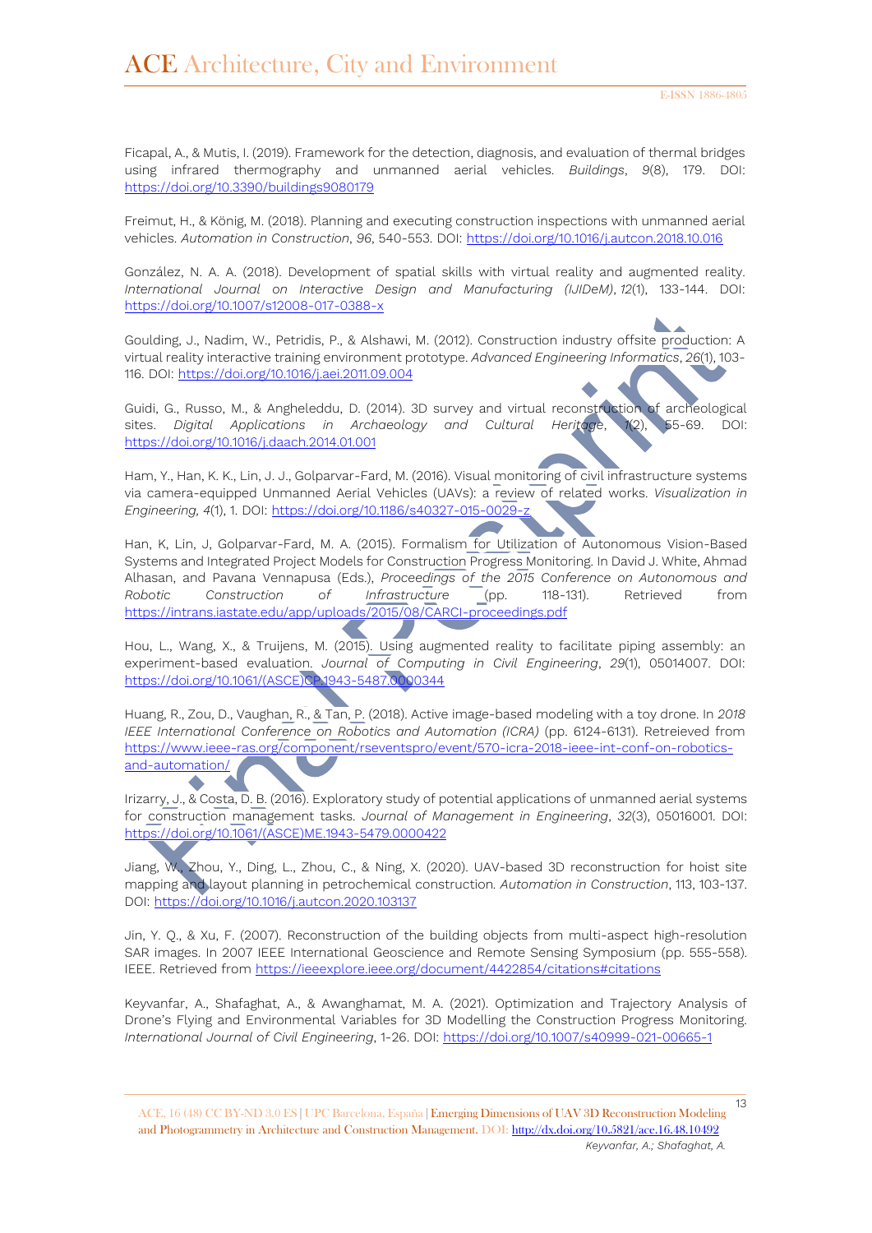Ficapal, A., & Mutis, I. (2019). Framework for the detection, diagnosis, and evaluation of thermal bridges using infrared thermography and unmanned aerial vehicles. *Buildings*, *9*(8), 179. DOI: <https://doi.org/10.3390/buildings9080179>

Freimut, H., & König, M. (2018). Planning and executing construction inspections with unmanned aerial vehicles. *Automation in Construction*, *96*, 540-553. DOI:<https://doi.org/10.1016/j.autcon.2018.10.016>

González, N. A. A. (2018). Development of spatial skills with virtual reality and augmented reality. *International Journal on Interactive Design and Manufacturing (IJIDeM)*, *12*(1), 133-144. DOI: <https://doi.org/10.1007/s12008-017-0388-x>

Goulding, J., Nadim, W., Petridis, P., & Alshawi, M. (2012). Construction industry offsite production: A virtual reality interactive training environment prototype. *Advanced Engineering Informatics*, *26*(1), 103- 116. DOI:<https://doi.org/10.1016/j.aei.2011.09.004>

Guidi, G., Russo, M., & Angheleddu, D. (2014). 3D survey and virtual reconstruction of archeological sites. *Digital Applications in Archaeology and Cultural Heritage*, *1*(2), 55-69. DOI: <https://doi.org/10.1016/j.daach.2014.01.001>

Ham, Y., Han, K. K., Lin, J. J., Golparvar-Fard, M. (2016). Visual monitoring of civil infrastructure systems via camera-equipped Unmanned Aerial Vehicles (UAVs): a review of related works. *Visualization in Engineering, 4*(1), 1. DOI:<https://doi.org/10.1186/s40327-015-0029-z>

Han, K, Lin, J, Golparvar-Fard, M. A. (2015). Formalism for Utilization of Autonomous Vision-Based Systems and Integrated Project Models for Construction Progress Monitoring. In David J. White, Ahmad Alhasan, and Pavana Vennapusa (Eds.), *Proceedings of the 2015 Conference on Autonomous and Robotic Construction of Infrastructure* (pp. 118-131). Retrieved from <https://intrans.iastate.edu/app/uploads/2015/08/CARCI-proceedings.pdf>

Hou, L., Wang, X., & Truijens, M. (2015). Using augmented reality to facilitate piping assembly: an experiment-based evaluation. *Journal of Computing in Civil Engineering*, *29*(1), 05014007. DOI: [https://doi.org/10.1061/\(ASCE\)CP.1943-5487.0000344](https://doi.org/10.1061/(ASCE)CP.1943-5487.0000344)

Huang, R., Zou, D., Vaughan, R., & Tan, P. (2018). Active image-based modeling with a toy drone. In *2018 IEEE International Conference on Robotics and Automation (ICRA)* (pp. 6124-6131). Retreieved from [https://www.ieee-ras.org/component/rseventspro/event/570-icra-2018-ieee-int-conf-on-robotics](https://www.ieee-ras.org/component/rseventspro/event/570-icra-2018-ieee-international-conference-on-robotics-and-automation/)[and-automation/](https://www.ieee-ras.org/component/rseventspro/event/570-icra-2018-ieee-international-conference-on-robotics-and-automation/)

Irizarry, J., & Costa, D. B. (2016). Exploratory study of potential applications of unmanned aerial systems for construction management tasks. *Journal of Management in Engineering*, *32*(3), 05016001. DOI: [https://doi.org/10.1061/\(ASCE\)ME.1943-5479.0000422](https://doi.org/10.1061/(ASCE)ME.1943-5479.0000422)

Jiang, W., Zhou, Y., Ding, L., Zhou, C., & Ning, X. (2020). UAV-based 3D reconstruction for hoist site mapping and layout planning in petrochemical construction*. Automation in Construction*, 113, 103-137. DOI:<https://doi.org/10.1016/j.autcon.2020.103137>

Jin, Y. Q., & Xu, F. (2007). Reconstruction of the building objects from multi-aspect high-resolution SAR images. In 2007 IEEE International Geoscience and Remote Sensing Symposium (pp. 555-558). IEEE. Retrieved from<https://ieeexplore.ieee.org/document/4422854/citations#citations>

Keyvanfar, A., Shafaghat, A., & Awanghamat, M. A. (2021). Optimization and Trajectory Analysis of Drone's Flying and Environmental Variables for 3D Modelling the Construction Progress Monitoring. *International Journal of Civil Engineering*, 1-26. DOI: <https://doi.org/10.1007/s40999-021-00665-1>

<sup>13</sup> ACE, 16 (48) CC BY-ND 3.0 ES **|** UPC Barcelona, España **|** Emerging Dimensions of UAV 3D Reconstruction Modeling and Photogrammetry in Architecture and Construction Management. DOI[: http://dx.doi.org/10.5821/ace.16.48.10492](http://dx.doi.org/10.5821/ace.16.48.10492) *Keyvanfar, A.; Shafaghat, A.*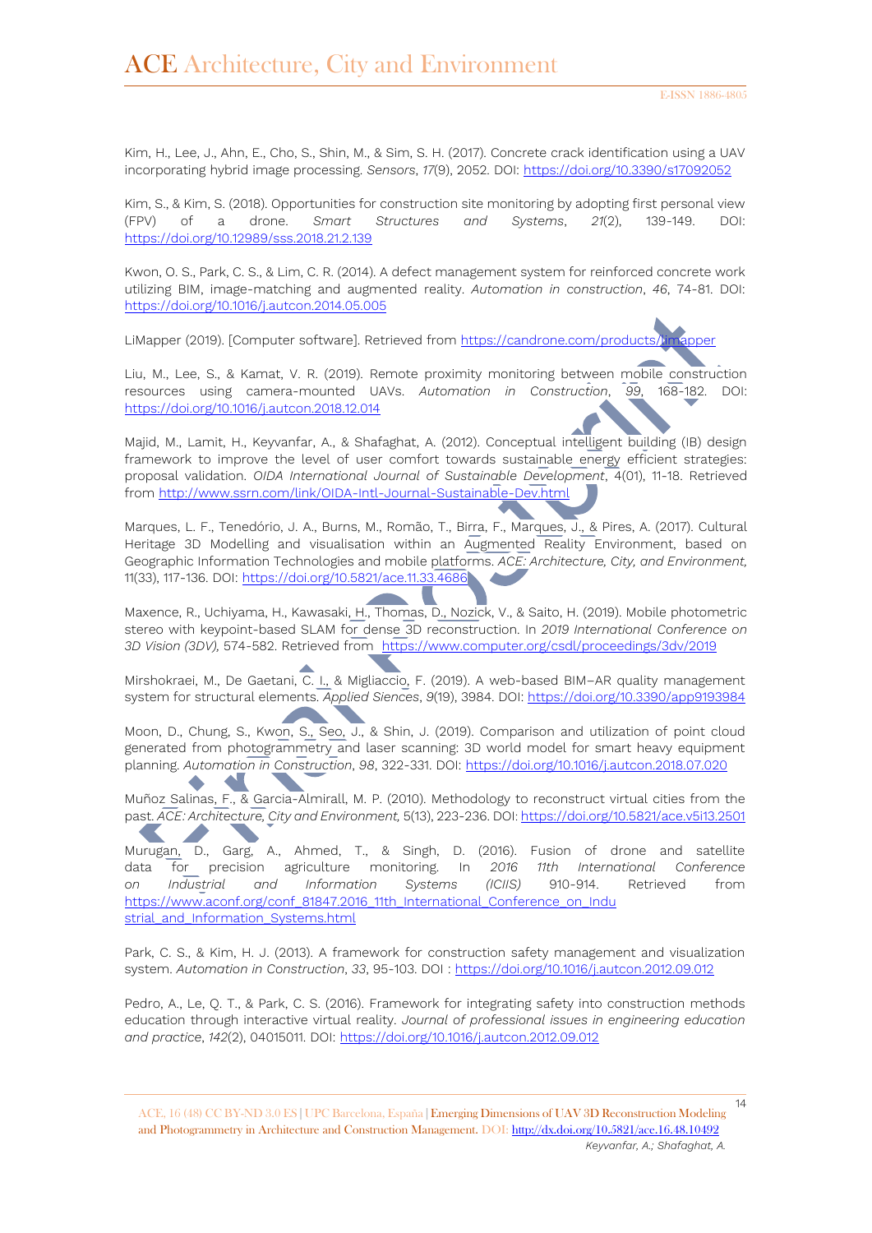Kim, H., Lee, J., Ahn, E., Cho, S., Shin, M., & Sim, S. H. (2017). Concrete crack identification using a UAV incorporating hybrid image processing. *Sensors*, *17*(9), 2052. DOI:<https://doi.org/10.3390/s17092052>

Kim, S., & Kim, S. (2018). Opportunities for construction site monitoring by adopting first personal view (FPV) of a drone. *Smart Structures and Systems*, *21*(2), 139-149. DOI: <https://doi.org/10.12989/sss.2018.21.2.139>

Kwon, O. S., Park, C. S., & Lim, C. R. (2014). A defect management system for reinforced concrete work utilizing BIM, image-matching and augmented reality. *Automation in construction*, *46*, 74-81. DOI: <https://doi.org/10.1016/j.autcon.2014.05.005>

LiMapper (2019). [Computer software]. Retrieved from <https://candrone.com/products/limapper>

Liu, M., Lee, S., & Kamat, V. R. (2019). Remote proximity monitoring between mobile construction resources using camera-mounted UAVs. *Automation in Construction*, *99*, 168-182. DOI: <https://doi.org/10.1016/j.autcon.2018.12.014>

Majid, M., Lamit, H., Keyvanfar, A., & Shafaghat, A. (2012). Conceptual intelligent building (IB) design framework to improve the level of user comfort towards sustainable energy efficient strategies: proposal validation. *OIDA International Journal of Sustainable Development*, 4(01), 11-18. Retrieved from<http://www.ssrn.com/link/OIDA-Intl-Journal-Sustainable-Dev.html>

Marques, L. F., Tenedório, J. A., Burns, M., Romão, T., Birra, F., Marques, J., & Pires, A. (2017). Cultural Heritage 3D Modelling and visualisation within an Augmented Reality Environment, based on Geographic Information Technologies and mobile platforms. *ACE: Architecture, City, and Environment,*  11(33), 117-136. DOI:<https://doi.org/10.5821/ace.11.33.4686>

Maxence, R., Uchiyama, H., Kawasaki, H., Thomas, D., Nozick, V., & Saito, H. (2019). Mobile photometric stereo with keypoint-based SLAM for dense 3D reconstruction. In *2019 International Conference on 3D Vision (3DV),* 574-582. Retrieved from [https://www.computer.org/csdl/proceedings/3dv/2019](https://www.computer.org/csdl/proceedings/3dv/2019/1ezRzLyH4bu)

Mirshokraei, M., De Gaetani, C. I., & Migliaccio, F. (2019). A web-based BIM-AR quality management system for structural elements. *Applied Siences*, *9*(19), 3984. DOI:<https://doi.org/10.3390/app9193984>

Moon, D., Chung, S., Kwon, S., Seo, J., & Shin, J. (2019). Comparison and utilization of point cloud generated from photogrammetry and laser scanning: 3D world model for smart heavy equipment planning. *Automation in Construction*, *98*, 322-331. DOI: <https://doi.org/10.1016/j.autcon.2018.07.020>

Muñoz Salinas, F., & Garcia-Almirall, M. P. (2010). Methodology to reconstruct virtual cities from the past. *ACE: Architecture, City and Environment,* 5(13), 223-236. DOI: <https://doi.org/10.5821/ace.v5i13.2501>

Murugan, D., Garg, A., Ahmed, T., & Singh, D. (2016). Fusion of drone and satellite data for precision agriculture monitoring. In *2016 11th International Conference on Industrial and Information Systems (ICIIS)* 910-914. Retrieved from [https://www.aconf.org/conf\\_81847.2016\\_11th\\_International\\_Conference\\_on\\_Indu](https://www.aconf.org/conf_81847.2016_11th_International_Conference_on_Industrial_and_Information_Systems.html) [strial\\_and\\_Information\\_Systems.html](https://www.aconf.org/conf_81847.2016_11th_International_Conference_on_Industrial_and_Information_Systems.html)

Park, C. S., & Kim, H. J. (2013). A framework for construction safety management and visualization system. *Automation in Construction*, *33*, 95-103. DOI :<https://doi.org/10.1016/j.autcon.2012.09.012>

Pedro, A., Le, Q. T., & Park, C. S. (2016). Framework for integrating safety into construction methods education through interactive virtual reality. *Journal of professional issues in engineering education and practice*, *142*(2), 04015011. DOI: <https://doi.org/10.1016/j.autcon.2012.09.012>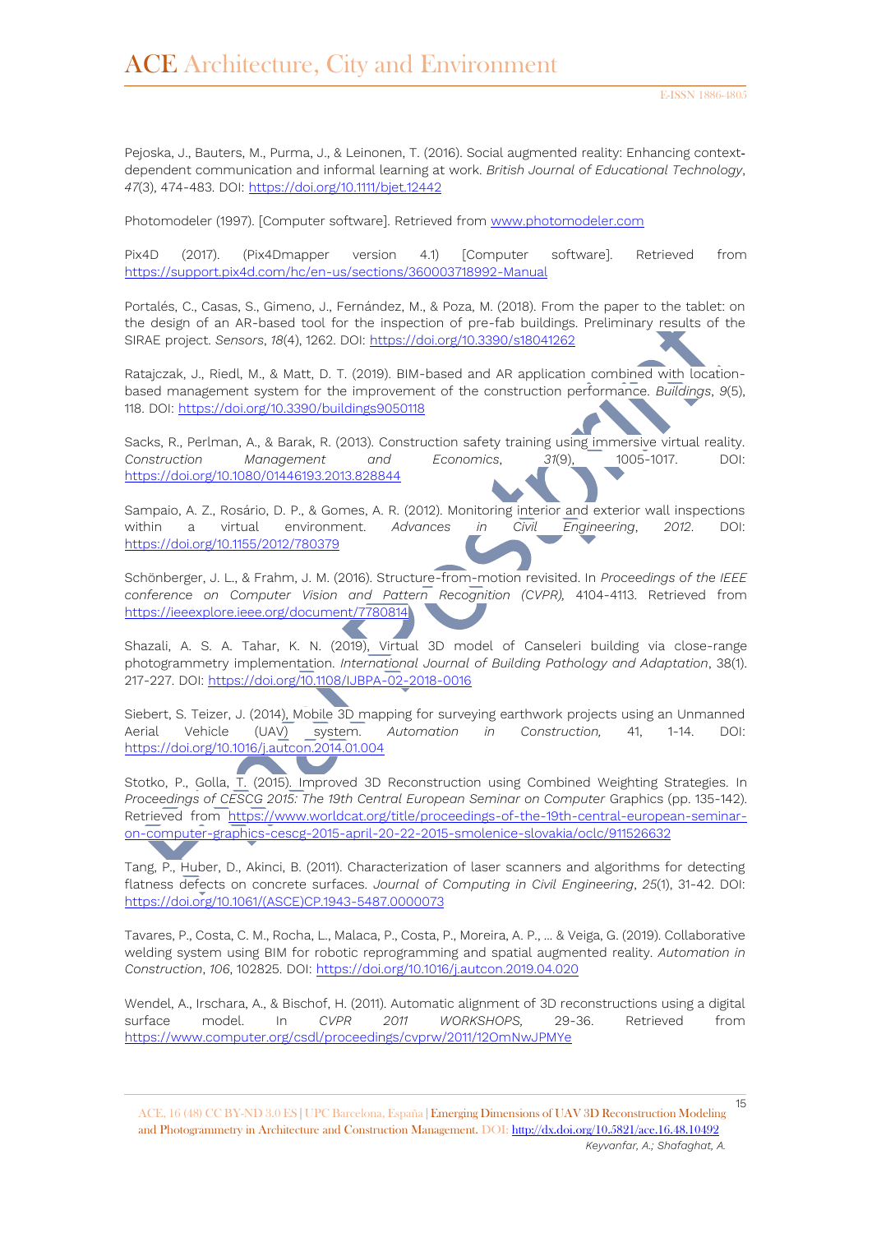Pejoska, J., Bauters, M., Purma, J., & Leinonen, T. (2016). Social augmented reality: Enhancing contextdependent communication and informal learning at work. *British Journal of Educational Technology*, *47*(3), 474-483. DOI:<https://doi.org/10.1111/bjet.12442>

Photomodeler (1997). [Computer software]. Retrieved from [www.photomodeler.com](http://www.photomodeler.com/)

Pix4D (2017). (Pix4Dmapper version 4.1) [Computer software]. Retrieved from <https://support.pix4d.com/hc/en-us/sections/360003718992-Manual>

Portalés, C., Casas, S., Gimeno, J., Fernández, M., & Poza, M. (2018). From the paper to the tablet: on the design of an AR-based tool for the inspection of pre-fab buildings. Preliminary results of the SIRAE project. *Sensors*, *18*(4), 1262. DOI:<https://doi.org/10.3390/s18041262>

Ratajczak, J., Riedl, M., & Matt, D. T. (2019). BIM-based and AR application combined with locationbased management system for the improvement of the construction performance. *Buildings*, *9*(5), 118. DOI:<https://doi.org/10.3390/buildings9050118>

Sacks, R., Perlman, A., & Barak, R. (2013). Construction safety training using immersive virtual reality. *Construction Management and Economics*, *31*(9), 1005-1017. DOI: <https://doi.org/10.1080/01446193.2013.828844>

Sampaio, A. Z., Rosário, D. P., & Gomes, A. R. (2012). Monitoring interior and exterior wall inspections within a virtual environment. *Advances in Civil Engineering*, *2012*. DOI: <https://doi.org/10.1155/2012/780379>

Schönberger, J. L., & Frahm, J. M. (2016). Structure-from-motion revisited. In *Proceedings of the IEEE conference on Computer Vision and Pattern Recognition (CVPR),* 4104-4113. Retrieved from <https://ieeexplore.ieee.org/document/7780814>

Shazali, A. S. A. Tahar, K. N. (2019), Virtual 3D model of Canseleri building via close-range photogrammetry implementation. *International Journal of Building Pathology and Adaptation*, 38(1). 217-227. DOI:<https://doi.org/10.1108/IJBPA-02-2018-0016>

Siebert, S. Teizer, J. (2014), Mobile 3D mapping for surveying earthwork projects using an Unmanned Aerial Vehicle (UAV) system. *Automation in Construction,* 41, 1-14. DOI: <https://doi.org/10.1016/j.autcon.2014.01.004>

Stotko, P., Golla, T. (2015). Improved 3D Reconstruction using Combined Weighting Strategies. In *Proceedings of CESCG 2015: The 19th Central European Seminar on Computer* Graphics (pp. 135-142). Retrieved from [https://www.worldcat.org/title/proceedings-of-the-19th-central-european-seminar](https://www.worldcat.org/title/proceedings-of-the-19th-central-european-seminar-on-computer-graphics-cescg-2015-april-20-22-2015-smolenice-slovakia/oclc/911526632)[on-computer-graphics-cescg-2015-april-20-22-2015-smolenice-slovakia/oclc/911526632](https://www.worldcat.org/title/proceedings-of-the-19th-central-european-seminar-on-computer-graphics-cescg-2015-april-20-22-2015-smolenice-slovakia/oclc/911526632)

Tang, P., Huber, D., Akinci, B. (2011). Characterization of laser scanners and algorithms for detecting flatness defects on concrete surfaces. *Journal of Computing in Civil Engineering*, *25*(1), 31-42. DOI: [https://doi.org/10.1061/\(ASCE\)CP.1943-5487.0000073](https://doi.org/10.1061/(ASCE)CP.1943-5487.0000073)

Tavares, P., Costa, C. M., Rocha, L., Malaca, P., Costa, P., Moreira, A. P., ... & Veiga, G. (2019). Collaborative welding system using BIM for robotic reprogramming and spatial augmented reality. *Automation in Construction*, *106*, 102825. DOI:<https://doi.org/10.1016/j.autcon.2019.04.020>

Wendel, A., Irschara, A., & Bischof, H. (2011). Automatic alignment of 3D reconstructions using a digital surface model. In *CVPR 2011 WORKSHOPS,* 29-36. Retrieved from <https://www.computer.org/csdl/proceedings/cvprw/2011/12OmNwJPMYe>

ACE, 16 (48) CC BY-ND 3.0 ES **|** UPC Barcelona, España **|** Emerging Dimensions of UAV 3D Reconstruction Modeling and Photogrammetry in Architecture and Construction Management. DOI[: http://dx.doi.org/10.5821/ace.16.48.10492](http://dx.doi.org/10.5821/ace.16.48.10492) *Keyvanfar, A.; Shafaghat, A.*

15